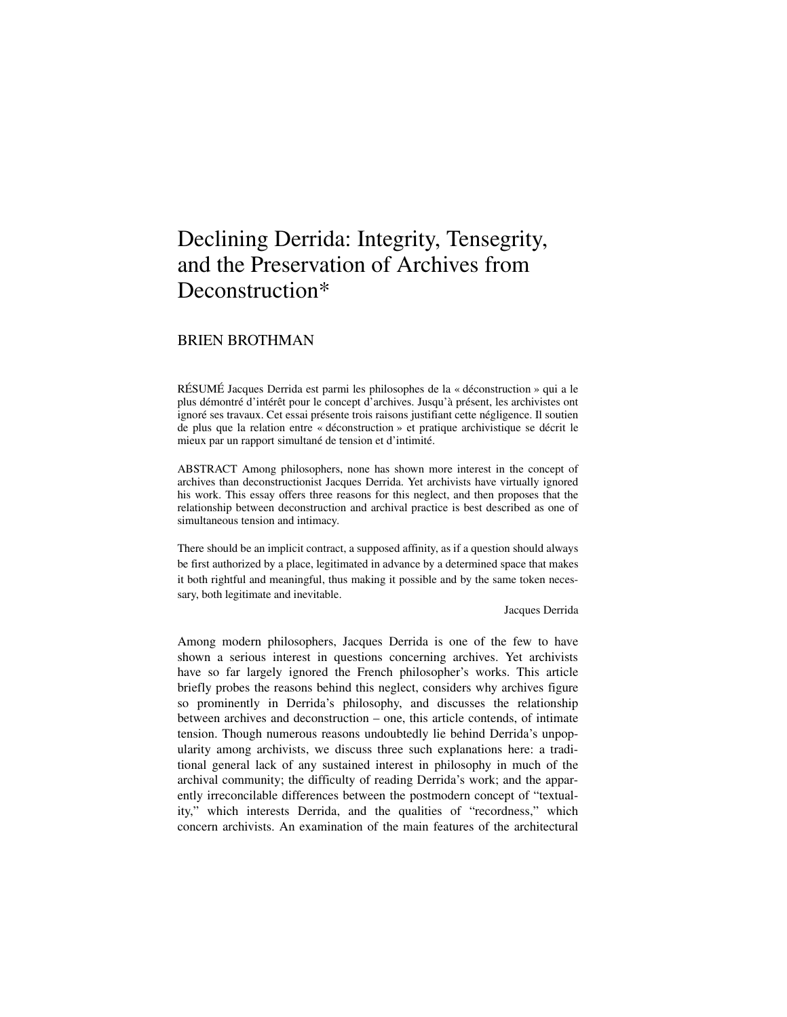# Declining Derrida: Integrity, Tensegrity, and the Preservation of Archives from Deconstruction\*

# BRIEN BROTHMAN

RÉSUMÉ Jacques Derrida est parmi les philosophes de la « déconstruction » qui a le plus démontré d'intérêt pour le concept d'archives. Jusqu'à présent, les archivistes ont ignoré ses travaux. Cet essai présente trois raisons justifiant cette négligence. Il soutien de plus que la relation entre « déconstruction » et pratique archivistique se décrit le mieux par un rapport simultané de tension et d'intimité.

ABSTRACT Among philosophers, none has shown more interest in the concept of archives than deconstructionist Jacques Derrida. Yet archivists have virtually ignored his work. This essay offers three reasons for this neglect, and then proposes that the relationship between deconstruction and archival practice is best described as one of simultaneous tension and intimacy.

There should be an implicit contract, a supposed affinity, as if a question should always be first authorized by a place, legitimated in advance by a determined space that makes it both rightful and meaningful, thus making it possible and by the same token necessary, both legitimate and inevitable.

Jacques Derrida

Among modern philosophers, Jacques Derrida is one of the few to have shown a serious interest in questions concerning archives. Yet archivists have so far largely ignored the French philosopher's works. This article briefly probes the reasons behind this neglect, considers why archives figure so prominently in Derrida's philosophy, and discusses the relationship between archives and deconstruction – one, this article contends, of intimate tension. Though numerous reasons undoubtedly lie behind Derrida's unpopularity among archivists, we discuss three such explanations here: a traditional general lack of any sustained interest in philosophy in much of the archival community; the difficulty of reading Derrida's work; and the apparently irreconcilable differences between the postmodern concept of "textuality," which interests Derrida, and the qualities of "recordness," which concern archivists. An examination of the main features of the architectural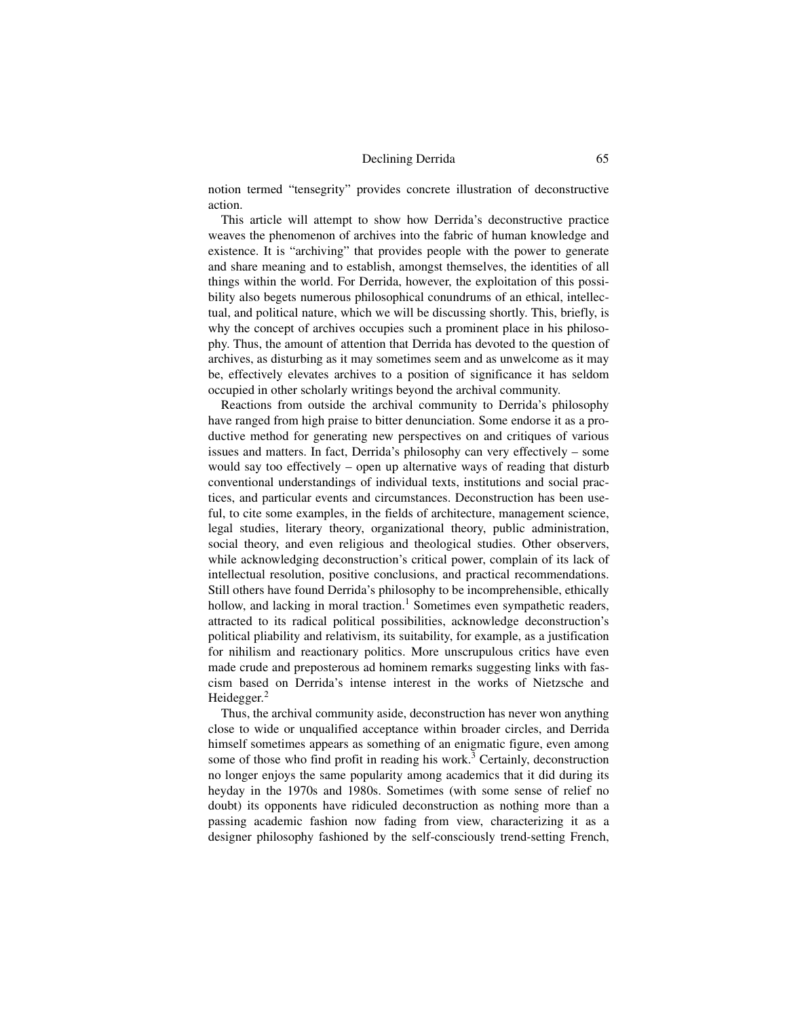notion termed "tensegrity" provides concrete illustration of deconstructive action.

This article will attempt to show how Derrida's deconstructive practice weaves the phenomenon of archives into the fabric of human knowledge and existence. It is "archiving" that provides people with the power to generate and share meaning and to establish, amongst themselves, the identities of all things within the world. For Derrida, however, the exploitation of this possibility also begets numerous philosophical conundrums of an ethical, intellectual, and political nature, which we will be discussing shortly. This, briefly, is why the concept of archives occupies such a prominent place in his philosophy. Thus, the amount of attention that Derrida has devoted to the question of archives, as disturbing as it may sometimes seem and as unwelcome as it may be, effectively elevates archives to a position of significance it has seldom occupied in other scholarly writings beyond the archival community.

 Reactions from outside the archival community to Derrida's philosophy have ranged from high praise to bitter denunciation. Some endorse it as a productive method for generating new perspectives on and critiques of various issues and matters. In fact, Derrida's philosophy can very effectively – some would say too effectively – open up alternative ways of reading that disturb conventional understandings of individual texts, institutions and social practices, and particular events and circumstances. Deconstruction has been useful, to cite some examples, in the fields of architecture, management science, legal studies, literary theory, organizational theory, public administration, social theory, and even religious and theological studies. Other observers, while acknowledging deconstruction's critical power, complain of its lack of intellectual resolution, positive conclusions, and practical recommendations. Still others have found Derrida's philosophy to be incomprehensible, ethically hollow, and lacking in moral traction.<sup>1</sup> Sometimes even sympathetic readers, attracted to its radical political possibilities, acknowledge deconstruction's political pliability and relativism, its suitability, for example, as a justification for nihilism and reactionary politics. More unscrupulous critics have even made crude and preposterous ad hominem remarks suggesting links with fascism based on Derrida's intense interest in the works of Nietzsche and Heidegger.<sup>2</sup>

Thus, the archival community aside, deconstruction has never won anything close to wide or unqualified acceptance within broader circles, and Derrida himself sometimes appears as something of an enigmatic figure, even among some of those who find profit in reading his work.<sup>3</sup> Certainly, deconstruction no longer enjoys the same popularity among academics that it did during its heyday in the 1970s and 1980s. Sometimes (with some sense of relief no doubt) its opponents have ridiculed deconstruction as nothing more than a passing academic fashion now fading from view, characterizing it as a designer philosophy fashioned by the self-consciously trend-setting French,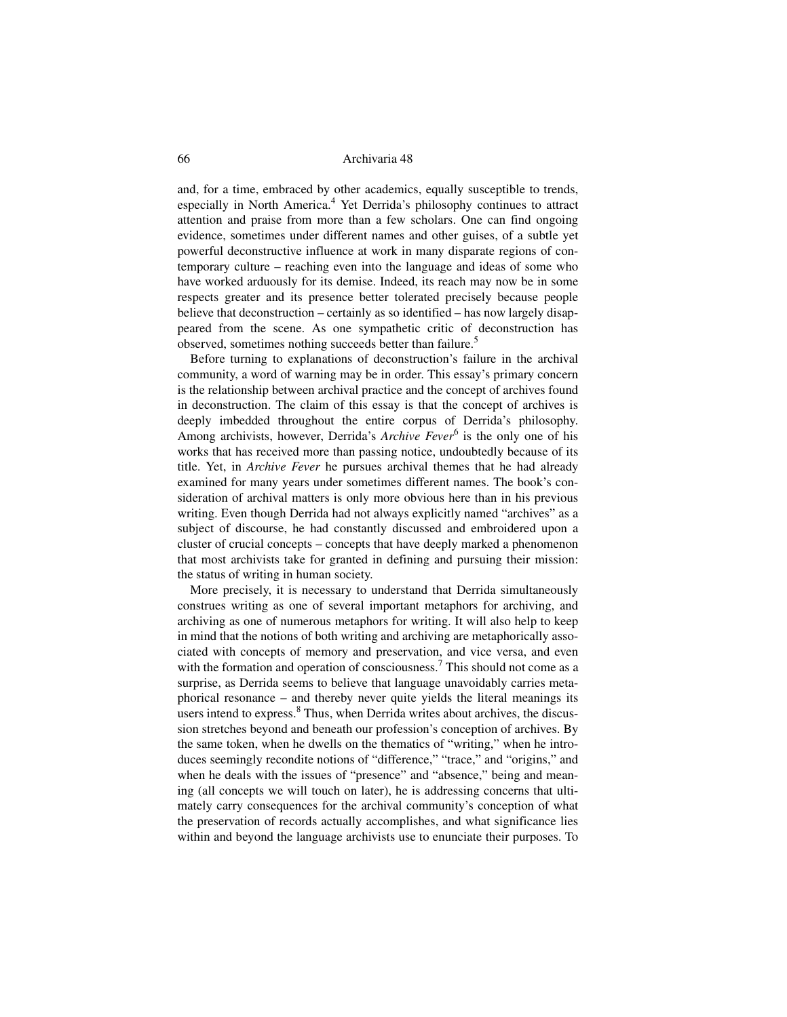and, for a time, embraced by other academics, equally susceptible to trends, especially in North America.<sup>4</sup> Yet Derrida's philosophy continues to attract attention and praise from more than a few scholars. One can find ongoing evidence, sometimes under different names and other guises, of a subtle yet powerful deconstructive influence at work in many disparate regions of contemporary culture – reaching even into the language and ideas of some who have worked arduously for its demise. Indeed, its reach may now be in some respects greater and its presence better tolerated precisely because people believe that deconstruction – certainly as so identified – has now largely disappeared from the scene. As one sympathetic critic of deconstruction has observed, sometimes nothing succeeds better than failure.<sup>5</sup>

Before turning to explanations of deconstruction's failure in the archival community, a word of warning may be in order. This essay's primary concern is the relationship between archival practice and the concept of archives found in deconstruction. The claim of this essay is that the concept of archives is deeply imbedded throughout the entire corpus of Derrida's philosophy. Among archivists, however, Derrida's *Archive Fever*<sup>6</sup> is the only one of his works that has received more than passing notice, undoubtedly because of its title. Yet, in *Archive Fever* he pursues archival themes that he had already examined for many years under sometimes different names. The book's consideration of archival matters is only more obvious here than in his previous writing. Even though Derrida had not always explicitly named "archives" as a subject of discourse, he had constantly discussed and embroidered upon a cluster of crucial concepts – concepts that have deeply marked a phenomenon that most archivists take for granted in defining and pursuing their mission: the status of writing in human society.

More precisely, it is necessary to understand that Derrida simultaneously construes writing as one of several important metaphors for archiving, and archiving as one of numerous metaphors for writing. It will also help to keep in mind that the notions of both writing and archiving are metaphorically associated with concepts of memory and preservation, and vice versa, and even with the formation and operation of consciousness.<sup>7</sup> This should not come as a surprise, as Derrida seems to believe that language unavoidably carries metaphorical resonance – and thereby never quite yields the literal meanings its users intend to express.<sup>8</sup> Thus, when Derrida writes about archives, the discussion stretches beyond and beneath our profession's conception of archives. By the same token, when he dwells on the thematics of "writing," when he introduces seemingly recondite notions of "difference," "trace," and "origins," and when he deals with the issues of "presence" and "absence," being and meaning (all concepts we will touch on later), he is addressing concerns that ultimately carry consequences for the archival community's conception of what the preservation of records actually accomplishes, and what significance lies within and beyond the language archivists use to enunciate their purposes. To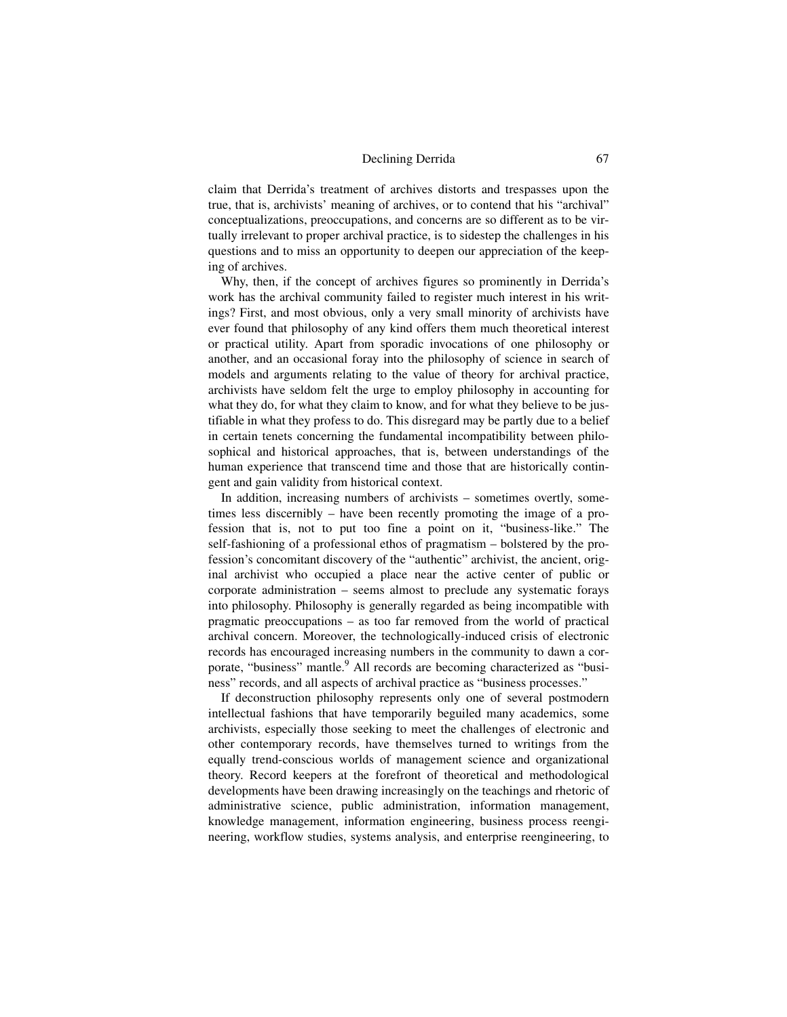claim that Derrida's treatment of archives distorts and trespasses upon the true, that is, archivists' meaning of archives, or to contend that his "archival" conceptualizations, preoccupations, and concerns are so different as to be virtually irrelevant to proper archival practice, is to sidestep the challenges in his questions and to miss an opportunity to deepen our appreciation of the keeping of archives.

Why, then, if the concept of archives figures so prominently in Derrida's work has the archival community failed to register much interest in his writings? First, and most obvious, only a very small minority of archivists have ever found that philosophy of any kind offers them much theoretical interest or practical utility. Apart from sporadic invocations of one philosophy or another, and an occasional foray into the philosophy of science in search of models and arguments relating to the value of theory for archival practice, archivists have seldom felt the urge to employ philosophy in accounting for what they do, for what they claim to know, and for what they believe to be justifiable in what they profess to do. This disregard may be partly due to a belief in certain tenets concerning the fundamental incompatibility between philosophical and historical approaches, that is, between understandings of the human experience that transcend time and those that are historically contingent and gain validity from historical context.

In addition, increasing numbers of archivists – sometimes overtly, sometimes less discernibly – have been recently promoting the image of a profession that is, not to put too fine a point on it, "business-like." The self-fashioning of a professional ethos of pragmatism – bolstered by the profession's concomitant discovery of the "authentic" archivist, the ancient, original archivist who occupied a place near the active center of public or corporate administration – seems almost to preclude any systematic forays into philosophy. Philosophy is generally regarded as being incompatible with pragmatic preoccupations – as too far removed from the world of practical archival concern. Moreover, the technologically-induced crisis of electronic records has encouraged increasing numbers in the community to dawn a corporate, "business" mantle.<sup>9</sup> All records are becoming characterized as "business" records, and all aspects of archival practice as "business processes."

If deconstruction philosophy represents only one of several postmodern intellectual fashions that have temporarily beguiled many academics, some archivists, especially those seeking to meet the challenges of electronic and other contemporary records, have themselves turned to writings from the equally trend-conscious worlds of management science and organizational theory. Record keepers at the forefront of theoretical and methodological developments have been drawing increasingly on the teachings and rhetoric of administrative science, public administration, information management, knowledge management, information engineering, business process reengineering, workflow studies, systems analysis, and enterprise reengineering, to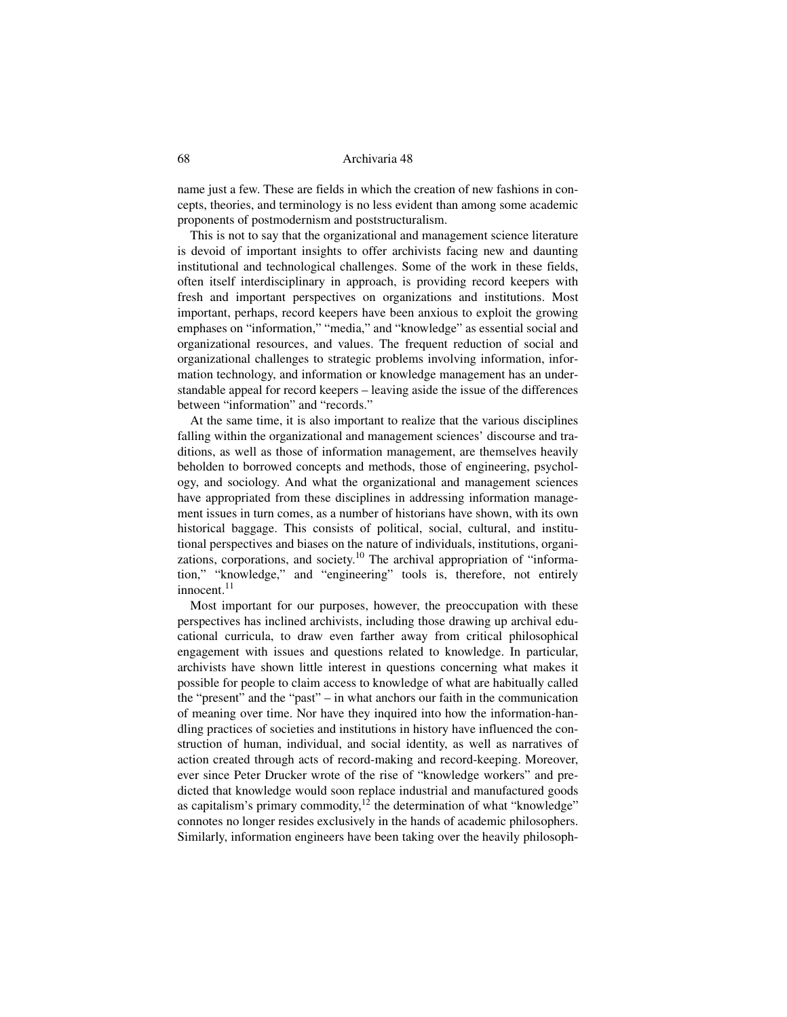name just a few. These are fields in which the creation of new fashions in concepts, theories, and terminology is no less evident than among some academic proponents of postmodernism and poststructuralism.

This is not to say that the organizational and management science literature is devoid of important insights to offer archivists facing new and daunting institutional and technological challenges. Some of the work in these fields, often itself interdisciplinary in approach, is providing record keepers with fresh and important perspectives on organizations and institutions. Most important, perhaps, record keepers have been anxious to exploit the growing emphases on "information," "media," and "knowledge" as essential social and organizational resources, and values. The frequent reduction of social and organizational challenges to strategic problems involving information, information technology, and information or knowledge management has an understandable appeal for record keepers – leaving aside the issue of the differences between "information" and "records."

At the same time, it is also important to realize that the various disciplines falling within the organizational and management sciences' discourse and traditions, as well as those of information management, are themselves heavily beholden to borrowed concepts and methods, those of engineering, psychology, and sociology. And what the organizational and management sciences have appropriated from these disciplines in addressing information management issues in turn comes, as a number of historians have shown, with its own historical baggage. This consists of political, social, cultural, and institutional perspectives and biases on the nature of individuals, institutions, organizations, corporations, and society.<sup>10</sup> The archival appropriation of "information," "knowledge," and "engineering" tools is, therefore, not entirely innocent.<sup>11</sup>

Most important for our purposes, however, the preoccupation with these perspectives has inclined archivists, including those drawing up archival educational curricula, to draw even farther away from critical philosophical engagement with issues and questions related to knowledge. In particular, archivists have shown little interest in questions concerning what makes it possible for people to claim access to knowledge of what are habitually called the "present" and the "past" – in what anchors our faith in the communication of meaning over time. Nor have they inquired into how the information-handling practices of societies and institutions in history have influenced the construction of human, individual, and social identity, as well as narratives of action created through acts of record-making and record-keeping. Moreover, ever since Peter Drucker wrote of the rise of "knowledge workers" and predicted that knowledge would soon replace industrial and manufactured goods as capitalism's primary commodity, $12$  the determination of what "knowledge" connotes no longer resides exclusively in the hands of academic philosophers. Similarly, information engineers have been taking over the heavily philosoph-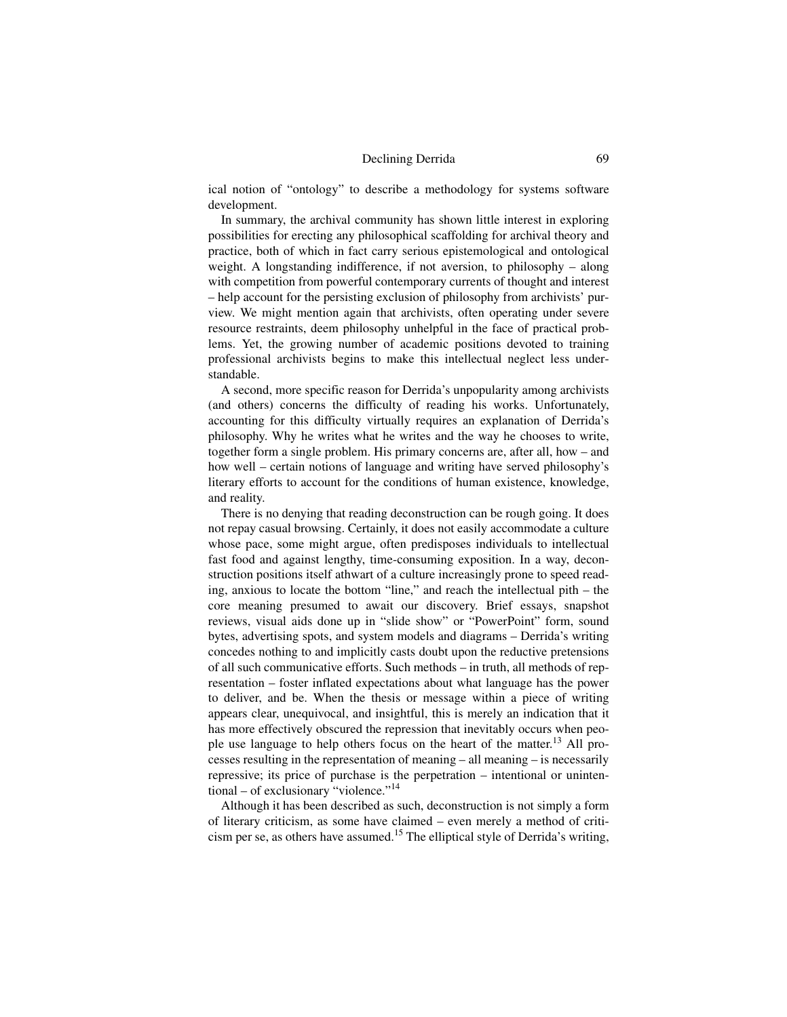ical notion of "ontology" to describe a methodology for systems software development.

In summary, the archival community has shown little interest in exploring possibilities for erecting any philosophical scaffolding for archival theory and practice, both of which in fact carry serious epistemological and ontological weight. A longstanding indifference, if not aversion, to philosophy – along with competition from powerful contemporary currents of thought and interest – help account for the persisting exclusion of philosophy from archivists' purview. We might mention again that archivists, often operating under severe resource restraints, deem philosophy unhelpful in the face of practical problems. Yet, the growing number of academic positions devoted to training professional archivists begins to make this intellectual neglect less understandable.

A second, more specific reason for Derrida's unpopularity among archivists (and others) concerns the difficulty of reading his works. Unfortunately, accounting for this difficulty virtually requires an explanation of Derrida's philosophy. Why he writes what he writes and the way he chooses to write, together form a single problem. His primary concerns are, after all, how – and how well – certain notions of language and writing have served philosophy's literary efforts to account for the conditions of human existence, knowledge, and reality.

There is no denying that reading deconstruction can be rough going. It does not repay casual browsing. Certainly, it does not easily accommodate a culture whose pace, some might argue, often predisposes individuals to intellectual fast food and against lengthy, time-consuming exposition. In a way, deconstruction positions itself athwart of a culture increasingly prone to speed reading, anxious to locate the bottom "line," and reach the intellectual pith – the core meaning presumed to await our discovery. Brief essays, snapshot reviews, visual aids done up in "slide show" or "PowerPoint" form, sound bytes, advertising spots, and system models and diagrams – Derrida's writing concedes nothing to and implicitly casts doubt upon the reductive pretensions of all such communicative efforts. Such methods – in truth, all methods of representation – foster inflated expectations about what language has the power to deliver, and be. When the thesis or message within a piece of writing appears clear, unequivocal, and insightful, this is merely an indication that it has more effectively obscured the repression that inevitably occurs when people use language to help others focus on the heart of the matter.<sup>13</sup> All processes resulting in the representation of meaning – all meaning – is necessarily repressive; its price of purchase is the perpetration – intentional or unintentional – of exclusionary "violence."<sup>14</sup>

Although it has been described as such, deconstruction is not simply a form of literary criticism, as some have claimed – even merely a method of criticism per se, as others have assumed.<sup>15</sup> The elliptical style of Derrida's writing,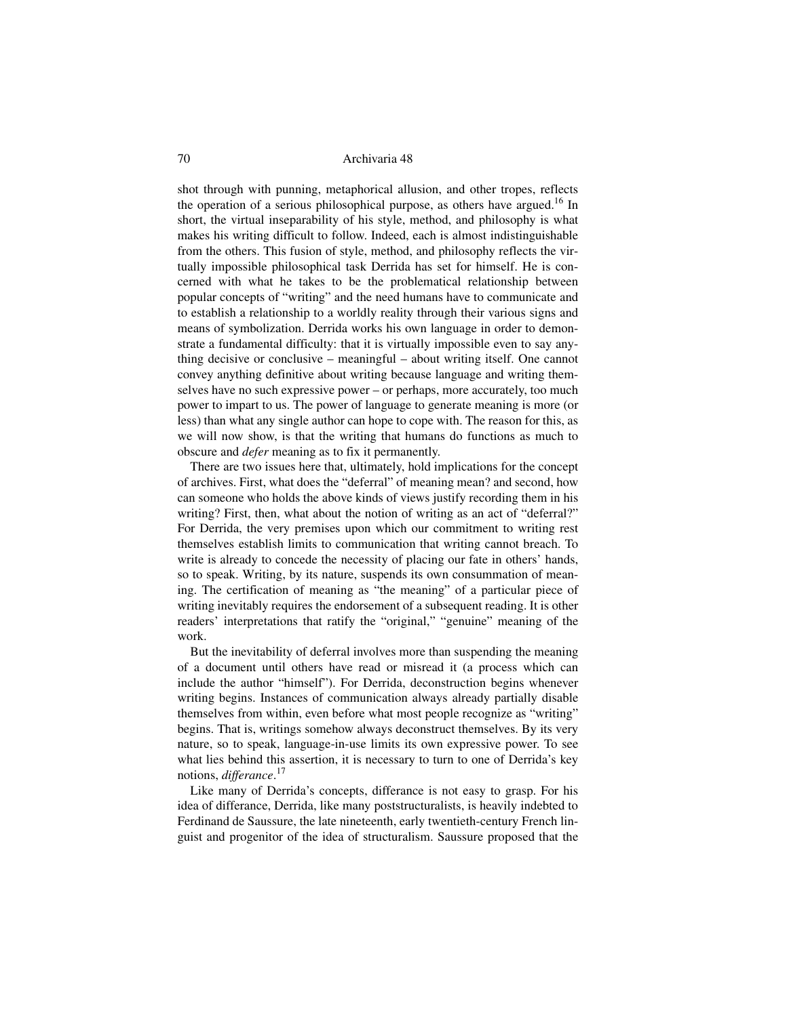shot through with punning, metaphorical allusion, and other tropes, reflects the operation of a serious philosophical purpose, as others have argued.<sup>16</sup> In short, the virtual inseparability of his style, method, and philosophy is what makes his writing difficult to follow. Indeed, each is almost indistinguishable from the others. This fusion of style, method, and philosophy reflects the virtually impossible philosophical task Derrida has set for himself. He is concerned with what he takes to be the problematical relationship between popular concepts of "writing" and the need humans have to communicate and to establish a relationship to a worldly reality through their various signs and means of symbolization. Derrida works his own language in order to demonstrate a fundamental difficulty: that it is virtually impossible even to say anything decisive or conclusive – meaningful – about writing itself. One cannot convey anything definitive about writing because language and writing themselves have no such expressive power – or perhaps, more accurately, too much power to impart to us. The power of language to generate meaning is more (or less) than what any single author can hope to cope with. The reason for this, as we will now show, is that the writing that humans do functions as much to obscure and *defer* meaning as to fix it permanently.

There are two issues here that, ultimately, hold implications for the concept of archives. First, what does the "deferral" of meaning mean? and second, how can someone who holds the above kinds of views justify recording them in his writing? First, then, what about the notion of writing as an act of "deferral?" For Derrida, the very premises upon which our commitment to writing rest themselves establish limits to communication that writing cannot breach. To write is already to concede the necessity of placing our fate in others' hands, so to speak. Writing, by its nature, suspends its own consummation of meaning. The certification of meaning as "the meaning" of a particular piece of writing inevitably requires the endorsement of a subsequent reading. It is other readers' interpretations that ratify the "original," "genuine" meaning of the work.

But the inevitability of deferral involves more than suspending the meaning of a document until others have read or misread it (a process which can include the author "himself"). For Derrida, deconstruction begins whenever writing begins. Instances of communication always already partially disable themselves from within, even before what most people recognize as "writing" begins. That is, writings somehow always deconstruct themselves. By its very nature, so to speak, language-in-use limits its own expressive power. To see what lies behind this assertion, it is necessary to turn to one of Derrida's key notions, *differance*. 17

Like many of Derrida's concepts, differance is not easy to grasp. For his idea of differance, Derrida, like many poststructuralists, is heavily indebted to Ferdinand de Saussure, the late nineteenth, early twentieth-century French linguist and progenitor of the idea of structuralism. Saussure proposed that the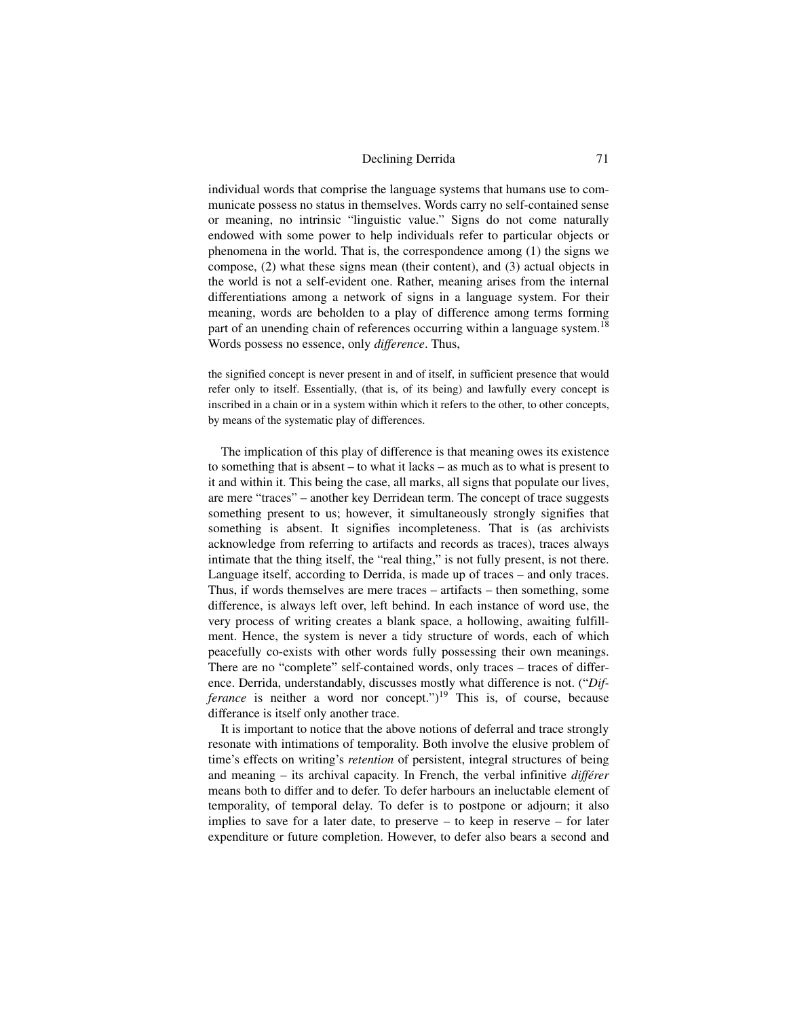individual words that comprise the language systems that humans use to communicate possess no status in themselves. Words carry no self-contained sense or meaning, no intrinsic "linguistic value." Signs do not come naturally endowed with some power to help individuals refer to particular objects or phenomena in the world. That is, the correspondence among (1) the signs we compose, (2) what these signs mean (their content), and (3) actual objects in the world is not a self-evident one. Rather, meaning arises from the internal differentiations among a network of signs in a language system. For their meaning, words are beholden to a play of difference among terms forming part of an unending chain of references occurring within a language system.<sup>18</sup> Words possess no essence, only *difference*. Thus,

the signified concept is never present in and of itself, in sufficient presence that would refer only to itself. Essentially, (that is, of its being) and lawfully every concept is inscribed in a chain or in a system within which it refers to the other, to other concepts, by means of the systematic play of differences.

The implication of this play of difference is that meaning owes its existence to something that is absent – to what it lacks – as much as to what is present to it and within it. This being the case, all marks, all signs that populate our lives, are mere "traces" – another key Derridean term. The concept of trace suggests something present to us; however, it simultaneously strongly signifies that something is absent. It signifies incompleteness. That is (as archivists acknowledge from referring to artifacts and records as traces), traces always intimate that the thing itself, the "real thing," is not fully present, is not there. Language itself, according to Derrida, is made up of traces – and only traces. Thus, if words themselves are mere traces – artifacts – then something, some difference, is always left over, left behind. In each instance of word use, the very process of writing creates a blank space, a hollowing, awaiting fulfillment. Hence, the system is never a tidy structure of words, each of which peacefully co-exists with other words fully possessing their own meanings. There are no "complete" self-contained words, only traces – traces of difference. Derrida, understandably, discusses mostly what difference is not. ("*Differance* is neither a word nor concept.")<sup>19</sup> This is, of course, because differance is itself only another trace.

It is important to notice that the above notions of deferral and trace strongly resonate with intimations of temporality. Both involve the elusive problem of time's effects on writing's *retention* of persistent, integral structures of being and meaning – its archival capacity. In French, the verbal infinitive *différer* means both to differ and to defer. To defer harbours an ineluctable element of temporality, of temporal delay. To defer is to postpone or adjourn; it also implies to save for a later date, to preserve – to keep in reserve – for later expenditure or future completion. However, to defer also bears a second and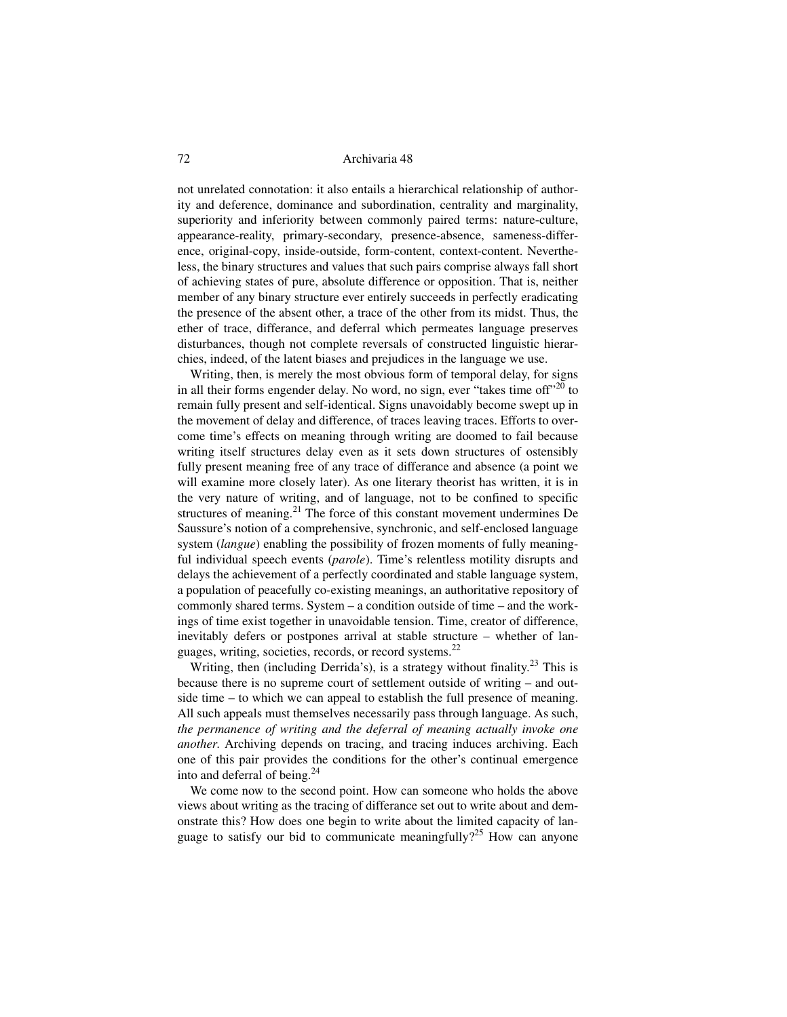not unrelated connotation: it also entails a hierarchical relationship of authority and deference, dominance and subordination, centrality and marginality, superiority and inferiority between commonly paired terms: nature-culture, appearance-reality, primary-secondary, presence-absence, sameness-difference, original-copy, inside-outside, form-content, context-content. Nevertheless, the binary structures and values that such pairs comprise always fall short of achieving states of pure, absolute difference or opposition. That is, neither member of any binary structure ever entirely succeeds in perfectly eradicating the presence of the absent other, a trace of the other from its midst. Thus, the ether of trace, differance, and deferral which permeates language preserves disturbances, though not complete reversals of constructed linguistic hierarchies, indeed, of the latent biases and prejudices in the language we use.

 Writing, then, is merely the most obvious form of temporal delay, for signs in all their forms engender delay. No word, no sign, ever "takes time off"<sup>20</sup> to remain fully present and self-identical. Signs unavoidably become swept up in the movement of delay and difference, of traces leaving traces. Efforts to overcome time's effects on meaning through writing are doomed to fail because writing itself structures delay even as it sets down structures of ostensibly fully present meaning free of any trace of differance and absence (a point we will examine more closely later). As one literary theorist has written, it is in the very nature of writing, and of language, not to be confined to specific structures of meaning.<sup>21</sup> The force of this constant movement undermines De Saussure's notion of a comprehensive, synchronic, and self-enclosed language system (*langue*) enabling the possibility of frozen moments of fully meaningful individual speech events (*parole*). Time's relentless motility disrupts and delays the achievement of a perfectly coordinated and stable language system, a population of peacefully co-existing meanings, an authoritative repository of commonly shared terms. System – a condition outside of time – and the workings of time exist together in unavoidable tension. Time, creator of difference, inevitably defers or postpones arrival at stable structure – whether of languages, writing, societies, records, or record systems.22

Writing, then (including Derrida's), is a strategy without finality.<sup>23</sup> This is because there is no supreme court of settlement outside of writing – and outside time – to which we can appeal to establish the full presence of meaning. All such appeals must themselves necessarily pass through language. As such, *the permanence of writing and the deferral of meaning actually invoke one another*. Archiving depends on tracing, and tracing induces archiving. Each one of this pair provides the conditions for the other's continual emergence into and deferral of being. $^{24}$ 

We come now to the second point. How can someone who holds the above views about writing as the tracing of differance set out to write about and demonstrate this? How does one begin to write about the limited capacity of language to satisfy our bid to communicate meaningfully?<sup>25</sup> How can anyone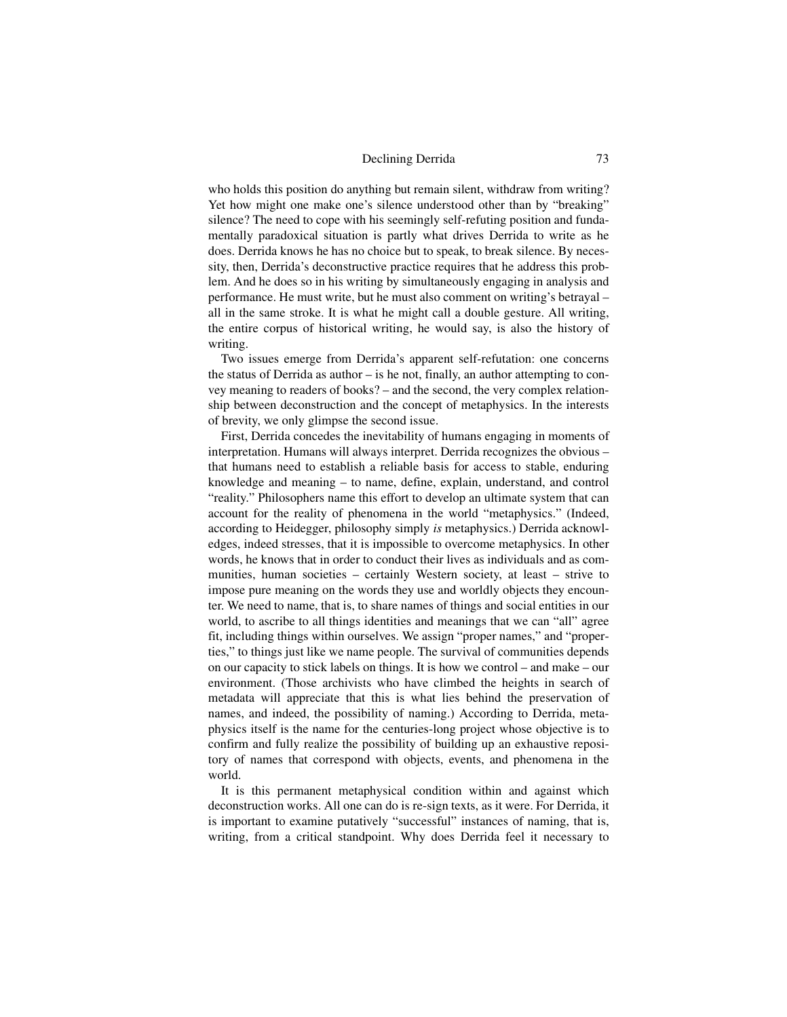who holds this position do anything but remain silent, withdraw from writing? Yet how might one make one's silence understood other than by "breaking" silence? The need to cope with his seemingly self-refuting position and fundamentally paradoxical situation is partly what drives Derrida to write as he does. Derrida knows he has no choice but to speak, to break silence. By necessity, then, Derrida's deconstructive practice requires that he address this problem. And he does so in his writing by simultaneously engaging in analysis and performance. He must write, but he must also comment on writing's betrayal – all in the same stroke. It is what he might call a double gesture. All writing, the entire corpus of historical writing, he would say, is also the history of writing.

Two issues emerge from Derrida's apparent self-refutation: one concerns the status of Derrida as author – is he not, finally, an author attempting to convey meaning to readers of books? – and the second, the very complex relationship between deconstruction and the concept of metaphysics. In the interests of brevity, we only glimpse the second issue.

First, Derrida concedes the inevitability of humans engaging in moments of interpretation. Humans will always interpret. Derrida recognizes the obvious – that humans need to establish a reliable basis for access to stable, enduring knowledge and meaning – to name, define, explain, understand, and control "reality." Philosophers name this effort to develop an ultimate system that can account for the reality of phenomena in the world "metaphysics." (Indeed, according to Heidegger, philosophy simply *is* metaphysics.) Derrida acknowledges, indeed stresses, that it is impossible to overcome metaphysics. In other words, he knows that in order to conduct their lives as individuals and as communities, human societies – certainly Western society, at least – strive to impose pure meaning on the words they use and worldly objects they encounter. We need to name, that is, to share names of things and social entities in our world, to ascribe to all things identities and meanings that we can "all" agree fit, including things within ourselves. We assign "proper names," and "properties," to things just like we name people. The survival of communities depends on our capacity to stick labels on things. It is how we control – and make – our environment. (Those archivists who have climbed the heights in search of metadata will appreciate that this is what lies behind the preservation of names, and indeed, the possibility of naming.) According to Derrida, metaphysics itself is the name for the centuries-long project whose objective is to confirm and fully realize the possibility of building up an exhaustive repository of names that correspond with objects, events, and phenomena in the world.

It is this permanent metaphysical condition within and against which deconstruction works. All one can do is re-sign texts, as it were. For Derrida, it is important to examine putatively "successful" instances of naming, that is, writing, from a critical standpoint. Why does Derrida feel it necessary to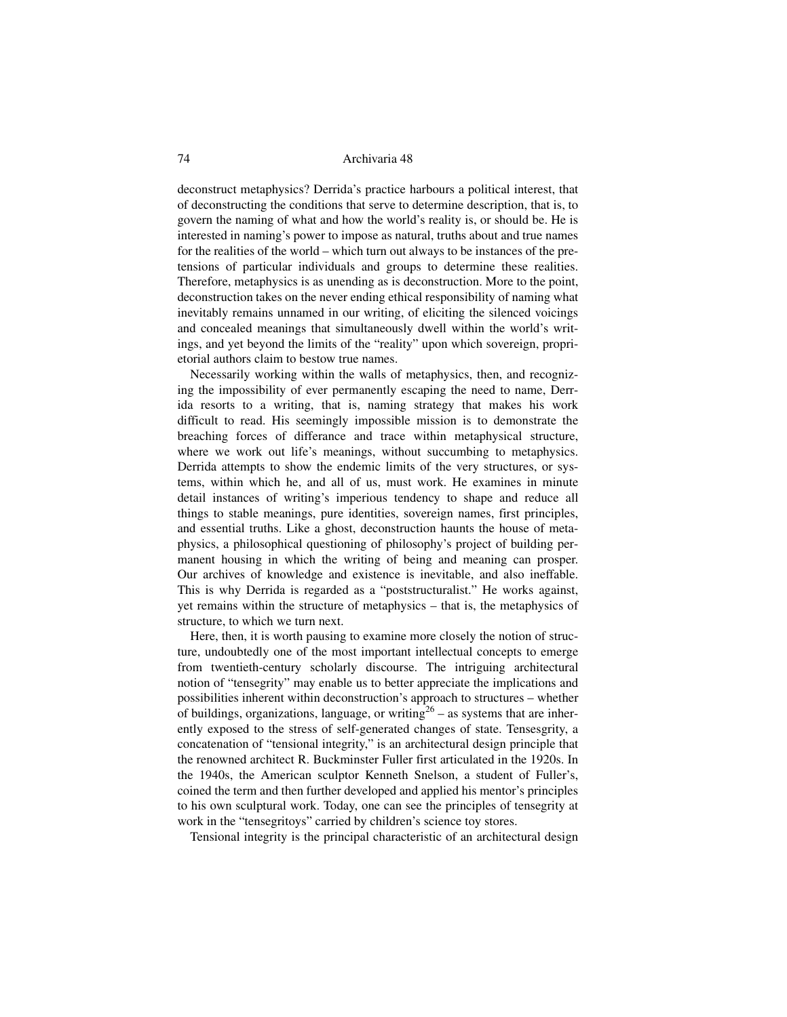deconstruct metaphysics? Derrida's practice harbours a political interest, that of deconstructing the conditions that serve to determine description, that is, to govern the naming of what and how the world's reality is, or should be. He is interested in naming's power to impose as natural, truths about and true names for the realities of the world – which turn out always to be instances of the pretensions of particular individuals and groups to determine these realities. Therefore, metaphysics is as unending as is deconstruction. More to the point, deconstruction takes on the never ending ethical responsibility of naming what inevitably remains unnamed in our writing, of eliciting the silenced voicings and concealed meanings that simultaneously dwell within the world's writings, and yet beyond the limits of the "reality" upon which sovereign, proprietorial authors claim to bestow true names.

Necessarily working within the walls of metaphysics, then, and recognizing the impossibility of ever permanently escaping the need to name, Derrida resorts to a writing, that is, naming strategy that makes his work difficult to read. His seemingly impossible mission is to demonstrate the breaching forces of differance and trace within metaphysical structure, where we work out life's meanings, without succumbing to metaphysics. Derrida attempts to show the endemic limits of the very structures, or systems, within which he, and all of us, must work. He examines in minute detail instances of writing's imperious tendency to shape and reduce all things to stable meanings, pure identities, sovereign names, first principles, and essential truths. Like a ghost, deconstruction haunts the house of metaphysics, a philosophical questioning of philosophy's project of building permanent housing in which the writing of being and meaning can prosper. Our archives of knowledge and existence is inevitable, and also ineffable. This is why Derrida is regarded as a "poststructuralist." He works against, yet remains within the structure of metaphysics – that is, the metaphysics of structure, to which we turn next.

Here, then, it is worth pausing to examine more closely the notion of structure, undoubtedly one of the most important intellectual concepts to emerge from twentieth-century scholarly discourse. The intriguing architectural notion of "tensegrity" may enable us to better appreciate the implications and possibilities inherent within deconstruction's approach to structures – whether of buildings, organizations, language, or writing<sup>26</sup> – as systems that are inherently exposed to the stress of self-generated changes of state. Tensesgrity, a concatenation of "tensional integrity," is an architectural design principle that the renowned architect R. Buckminster Fuller first articulated in the 1920s. In the 1940s, the American sculptor Kenneth Snelson, a student of Fuller's, coined the term and then further developed and applied his mentor's principles to his own sculptural work. Today, one can see the principles of tensegrity at work in the "tensegritoys" carried by children's science toy stores.

Tensional integrity is the principal characteristic of an architectural design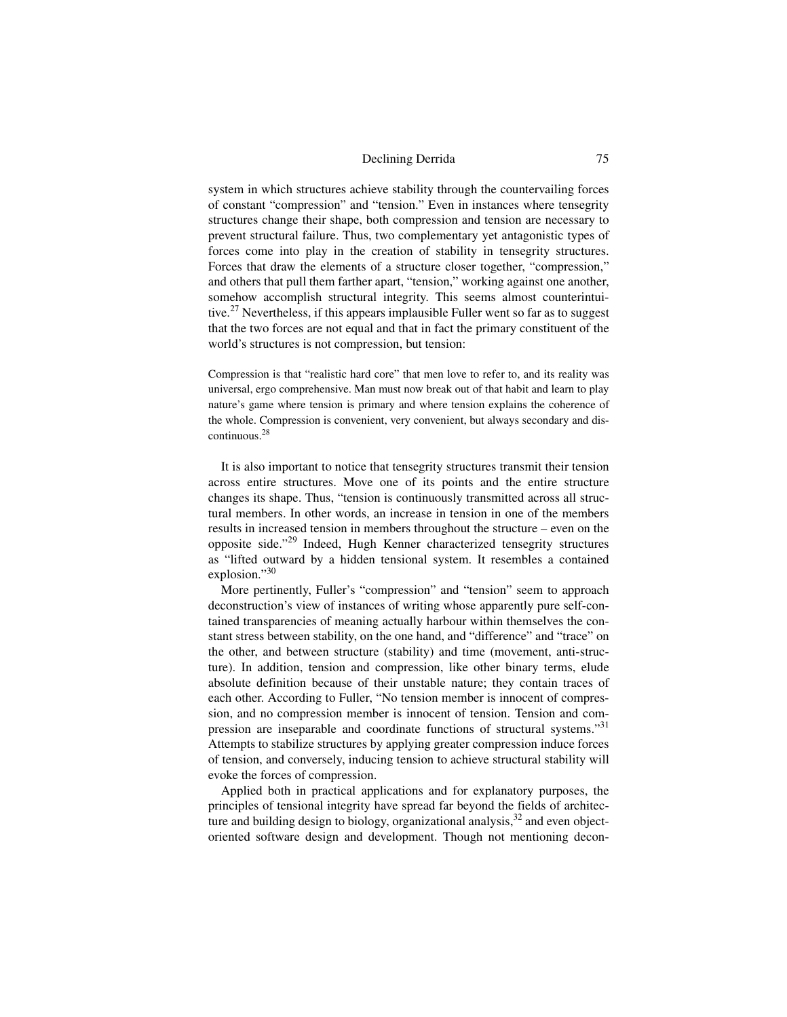system in which structures achieve stability through the countervailing forces of constant "compression" and "tension." Even in instances where tensegrity structures change their shape, both compression and tension are necessary to prevent structural failure. Thus, two complementary yet antagonistic types of forces come into play in the creation of stability in tensegrity structures. Forces that draw the elements of a structure closer together, "compression," and others that pull them farther apart, "tension," working against one another, somehow accomplish structural integrity. This seems almost counterintuitive.<sup>27</sup> Nevertheless, if this appears implausible Fuller went so far as to suggest that the two forces are not equal and that in fact the primary constituent of the world's structures is not compression, but tension:

Compression is that "realistic hard core" that men love to refer to, and its reality was universal, ergo comprehensive. Man must now break out of that habit and learn to play nature's game where tension is primary and where tension explains the coherence of the whole. Compression is convenient, very convenient, but always secondary and discontinuous.28

It is also important to notice that tensegrity structures transmit their tension across entire structures. Move one of its points and the entire structure changes its shape. Thus, "tension is continuously transmitted across all structural members. In other words, an increase in tension in one of the members results in increased tension in members throughout the structure – even on the opposite side."29 Indeed, Hugh Kenner characterized tensegrity structures as "lifted outward by a hidden tensional system. It resembles a contained explosion."30

More pertinently, Fuller's "compression" and "tension" seem to approach deconstruction's view of instances of writing whose apparently pure self-contained transparencies of meaning actually harbour within themselves the constant stress between stability, on the one hand, and "difference" and "trace" on the other, and between structure (stability) and time (movement, anti-structure). In addition, tension and compression, like other binary terms, elude absolute definition because of their unstable nature; they contain traces of each other. According to Fuller, "No tension member is innocent of compression, and no compression member is innocent of tension. Tension and compression are inseparable and coordinate functions of structural systems."<sup>31</sup> Attempts to stabilize structures by applying greater compression induce forces of tension, and conversely, inducing tension to achieve structural stability will evoke the forces of compression.

Applied both in practical applications and for explanatory purposes, the principles of tensional integrity have spread far beyond the fields of architecture and building design to biology, organizational analysis,  $32$  and even objectoriented software design and development. Though not mentioning decon-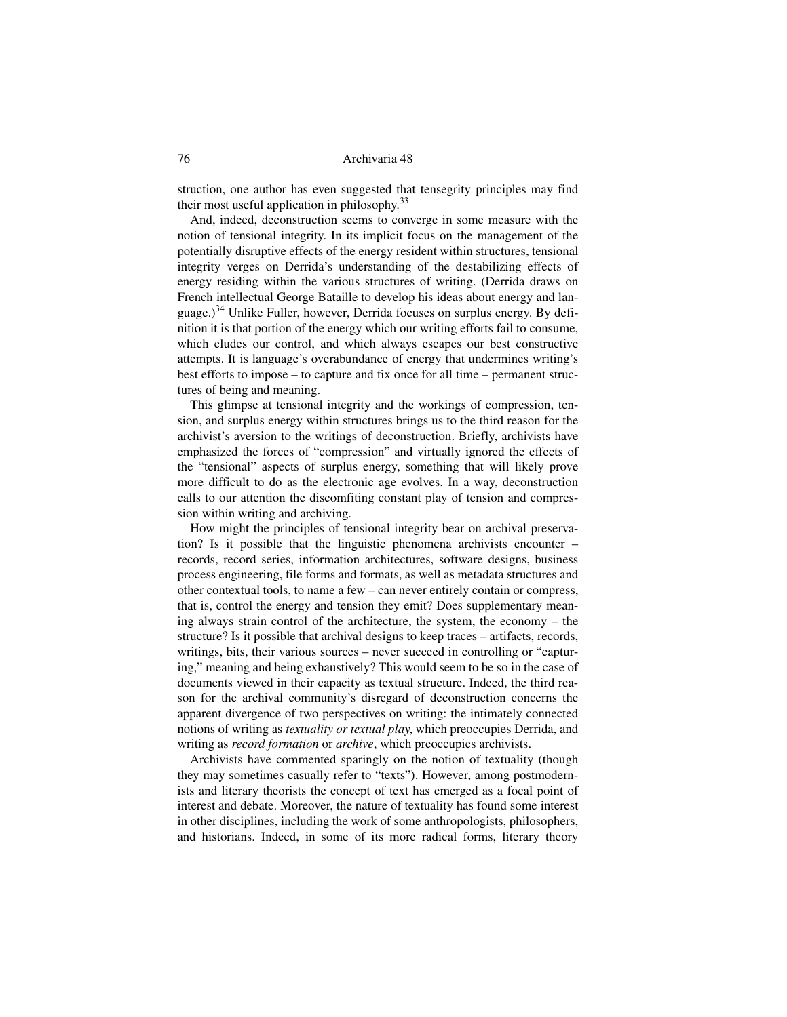struction, one author has even suggested that tensegrity principles may find their most useful application in philosophy.<sup>33</sup>

And, indeed, deconstruction seems to converge in some measure with the notion of tensional integrity. In its implicit focus on the management of the potentially disruptive effects of the energy resident within structures, tensional integrity verges on Derrida's understanding of the destabilizing effects of energy residing within the various structures of writing. (Derrida draws on French intellectual George Bataille to develop his ideas about energy and language.)<sup>34</sup> Unlike Fuller, however, Derrida focuses on surplus energy. By definition it is that portion of the energy which our writing efforts fail to consume, which eludes our control, and which always escapes our best constructive attempts. It is language's overabundance of energy that undermines writing's best efforts to impose – to capture and fix once for all time – permanent structures of being and meaning.

This glimpse at tensional integrity and the workings of compression, tension, and surplus energy within structures brings us to the third reason for the archivist's aversion to the writings of deconstruction. Briefly, archivists have emphasized the forces of "compression" and virtually ignored the effects of the "tensional" aspects of surplus energy, something that will likely prove more difficult to do as the electronic age evolves. In a way, deconstruction calls to our attention the discomfiting constant play of tension and compression within writing and archiving.

How might the principles of tensional integrity bear on archival preservation? Is it possible that the linguistic phenomena archivists encounter – records, record series, information architectures, software designs, business process engineering, file forms and formats, as well as metadata structures and other contextual tools, to name a few – can never entirely contain or compress, that is, control the energy and tension they emit? Does supplementary meaning always strain control of the architecture, the system, the economy – the structure? Is it possible that archival designs to keep traces – artifacts, records, writings, bits, their various sources – never succeed in controlling or "capturing," meaning and being exhaustively? This would seem to be so in the case of documents viewed in their capacity as textual structure. Indeed, the third reason for the archival community's disregard of deconstruction concerns the apparent divergence of two perspectives on writing: the intimately connected notions of writing as *textuality or textual play*, which preoccupies Derrida, and writing as *record formation* or *archive*, which preoccupies archivists.

Archivists have commented sparingly on the notion of textuality (though they may sometimes casually refer to "texts"). However, among postmodernists and literary theorists the concept of text has emerged as a focal point of interest and debate. Moreover, the nature of textuality has found some interest in other disciplines, including the work of some anthropologists, philosophers, and historians. Indeed, in some of its more radical forms, literary theory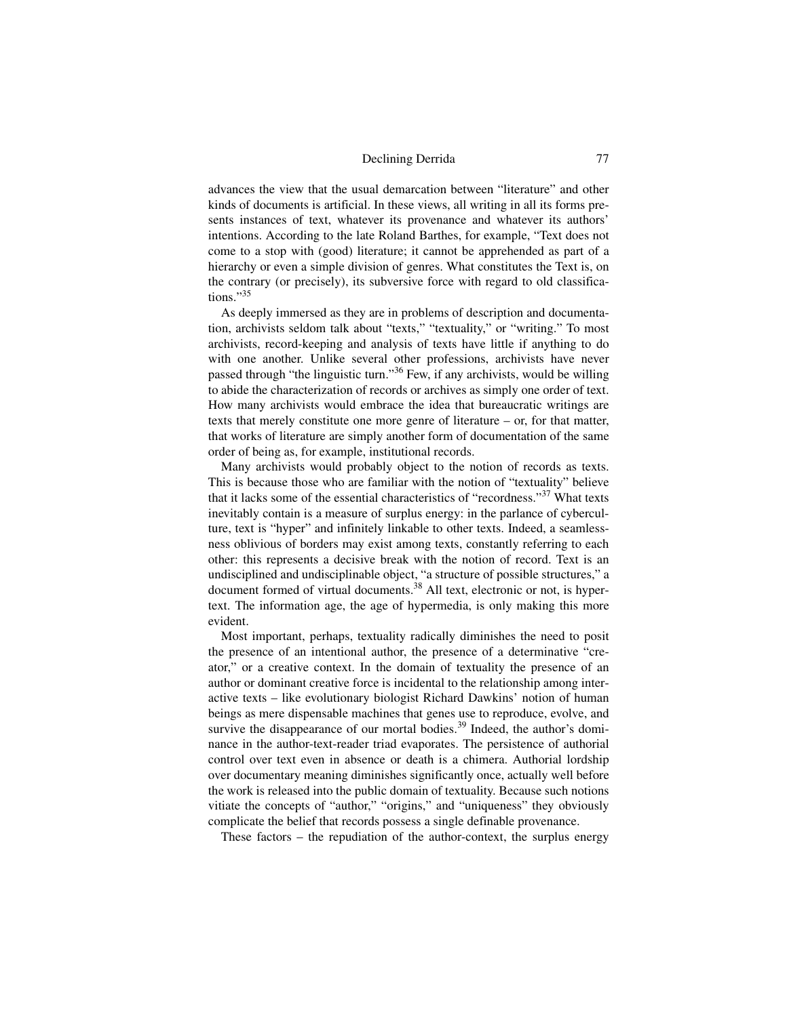advances the view that the usual demarcation between "literature" and other kinds of documents is artificial. In these views, all writing in all its forms presents instances of text, whatever its provenance and whatever its authors' intentions. According to the late Roland Barthes, for example, "Text does not come to a stop with (good) literature; it cannot be apprehended as part of a hierarchy or even a simple division of genres. What constitutes the Text is, on the contrary (or precisely), its subversive force with regard to old classifications."35

As deeply immersed as they are in problems of description and documentation, archivists seldom talk about "texts," "textuality," or "writing." To most archivists, record-keeping and analysis of texts have little if anything to do with one another. Unlike several other professions, archivists have never passed through "the linguistic turn."36 Few, if any archivists, would be willing to abide the characterization of records or archives as simply one order of text. How many archivists would embrace the idea that bureaucratic writings are texts that merely constitute one more genre of literature – or, for that matter, that works of literature are simply another form of documentation of the same order of being as, for example, institutional records.

Many archivists would probably object to the notion of records as texts. This is because those who are familiar with the notion of "textuality" believe that it lacks some of the essential characteristics of "recordness."37 What texts inevitably contain is a measure of surplus energy: in the parlance of cyberculture, text is "hyper" and infinitely linkable to other texts. Indeed, a seamlessness oblivious of borders may exist among texts, constantly referring to each other: this represents a decisive break with the notion of record. Text is an undisciplined and undisciplinable object, "a structure of possible structures," a document formed of virtual documents.<sup>38</sup> All text, electronic or not, is hypertext. The information age, the age of hypermedia, is only making this more evident.

Most important, perhaps, textuality radically diminishes the need to posit the presence of an intentional author, the presence of a determinative "creator," or a creative context. In the domain of textuality the presence of an author or dominant creative force is incidental to the relationship among interactive texts – like evolutionary biologist Richard Dawkins' notion of human beings as mere dispensable machines that genes use to reproduce, evolve, and survive the disappearance of our mortal bodies.<sup>39</sup> Indeed, the author's dominance in the author-text-reader triad evaporates. The persistence of authorial control over text even in absence or death is a chimera. Authorial lordship over documentary meaning diminishes significantly once, actually well before the work is released into the public domain of textuality. Because such notions vitiate the concepts of "author," "origins," and "uniqueness" they obviously complicate the belief that records possess a single definable provenance.

These factors – the repudiation of the author-context, the surplus energy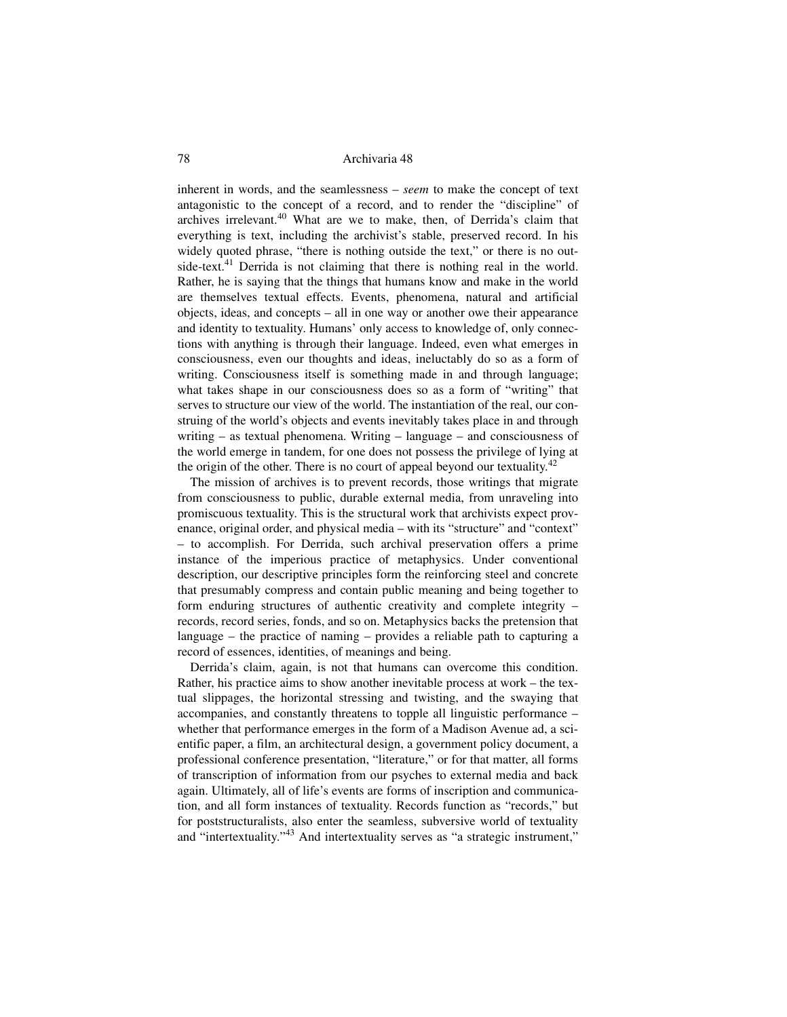inherent in words, and the seamlessness – *seem* to make the concept of text antagonistic to the concept of a record, and to render the "discipline" of archives irrelevant.<sup>40</sup> What are we to make, then, of Derrida's claim that everything is text, including the archivist's stable, preserved record. In his widely quoted phrase, "there is nothing outside the text," or there is no outside-text. $41$  Derrida is not claiming that there is nothing real in the world. Rather, he is saying that the things that humans know and make in the world are themselves textual effects. Events, phenomena, natural and artificial objects, ideas, and concepts – all in one way or another owe their appearance and identity to textuality. Humans' only access to knowledge of, only connections with anything is through their language. Indeed, even what emerges in consciousness, even our thoughts and ideas, ineluctably do so as a form of writing. Consciousness itself is something made in and through language; what takes shape in our consciousness does so as a form of "writing" that serves to structure our view of the world. The instantiation of the real, our construing of the world's objects and events inevitably takes place in and through writing – as textual phenomena. Writing – language – and consciousness of the world emerge in tandem, for one does not possess the privilege of lying at the origin of the other. There is no court of appeal beyond our textuality.<sup>42</sup>

The mission of archives is to prevent records, those writings that migrate from consciousness to public, durable external media, from unraveling into promiscuous textuality. This is the structural work that archivists expect provenance, original order, and physical media – with its "structure" and "context" – to accomplish. For Derrida, such archival preservation offers a prime instance of the imperious practice of metaphysics. Under conventional description, our descriptive principles form the reinforcing steel and concrete that presumably compress and contain public meaning and being together to form enduring structures of authentic creativity and complete integrity – records, record series, fonds, and so on. Metaphysics backs the pretension that language – the practice of naming – provides a reliable path to capturing a record of essences, identities, of meanings and being.

Derrida's claim, again, is not that humans can overcome this condition. Rather, his practice aims to show another inevitable process at work – the textual slippages, the horizontal stressing and twisting, and the swaying that accompanies, and constantly threatens to topple all linguistic performance – whether that performance emerges in the form of a Madison Avenue ad, a scientific paper, a film, an architectural design, a government policy document, a professional conference presentation, "literature," or for that matter, all forms of transcription of information from our psyches to external media and back again. Ultimately, all of life's events are forms of inscription and communication, and all form instances of textuality. Records function as "records," but for poststructuralists, also enter the seamless, subversive world of textuality and "intertextuality."<sup>43</sup> And intertextuality serves as "a strategic instrument,"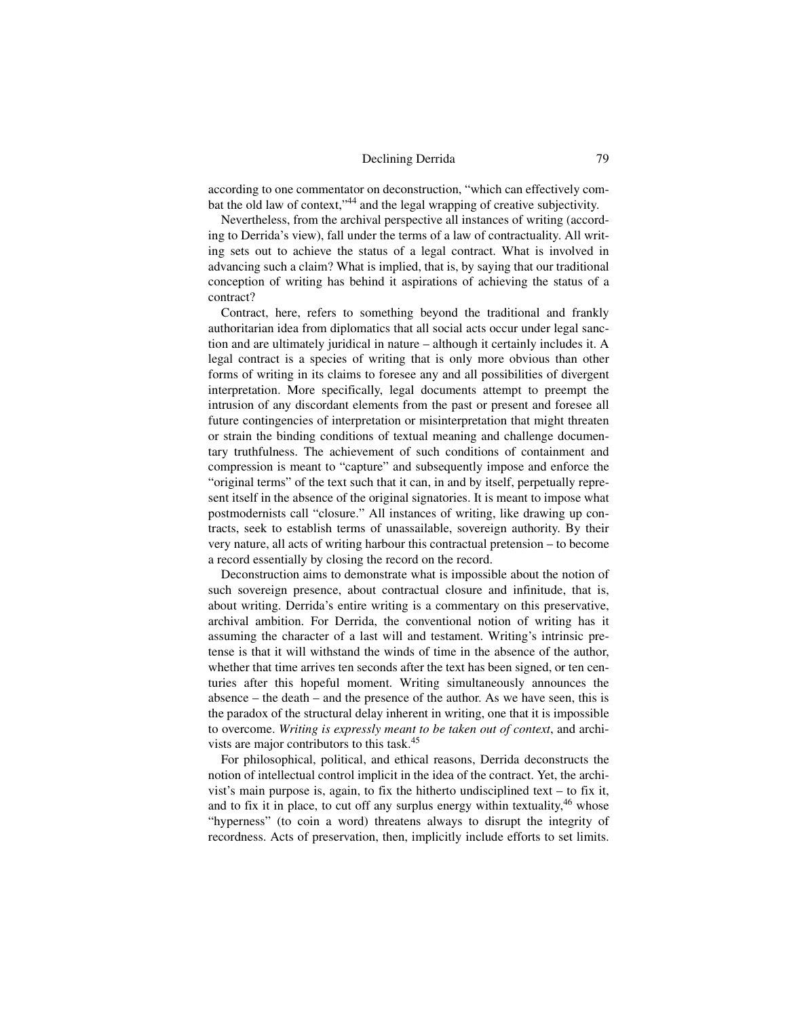according to one commentator on deconstruction, "which can effectively combat the old law of context,"44 and the legal wrapping of creative subjectivity.

Nevertheless, from the archival perspective all instances of writing (according to Derrida's view), fall under the terms of a law of contractuality. All writing sets out to achieve the status of a legal contract. What is involved in advancing such a claim? What is implied, that is, by saying that our traditional conception of writing has behind it aspirations of achieving the status of a contract?

 Contract, here, refers to something beyond the traditional and frankly authoritarian idea from diplomatics that all social acts occur under legal sanction and are ultimately juridical in nature – although it certainly includes it. A legal contract is a species of writing that is only more obvious than other forms of writing in its claims to foresee any and all possibilities of divergent interpretation. More specifically, legal documents attempt to preempt the intrusion of any discordant elements from the past or present and foresee all future contingencies of interpretation or misinterpretation that might threaten or strain the binding conditions of textual meaning and challenge documentary truthfulness. The achievement of such conditions of containment and compression is meant to "capture" and subsequently impose and enforce the "original terms" of the text such that it can, in and by itself, perpetually represent itself in the absence of the original signatories. It is meant to impose what postmodernists call "closure." All instances of writing, like drawing up contracts, seek to establish terms of unassailable, sovereign authority. By their very nature, all acts of writing harbour this contractual pretension – to become a record essentially by closing the record on the record.

Deconstruction aims to demonstrate what is impossible about the notion of such sovereign presence, about contractual closure and infinitude, that is, about writing. Derrida's entire writing is a commentary on this preservative, archival ambition. For Derrida, the conventional notion of writing has it assuming the character of a last will and testament. Writing's intrinsic pretense is that it will withstand the winds of time in the absence of the author, whether that time arrives ten seconds after the text has been signed, or ten centuries after this hopeful moment. Writing simultaneously announces the absence – the death – and the presence of the author. As we have seen, this is the paradox of the structural delay inherent in writing, one that it is impossible to overcome. *Writing is expressly meant to be taken out of context*, and archivists are major contributors to this task.<sup>45</sup>

For philosophical, political, and ethical reasons, Derrida deconstructs the notion of intellectual control implicit in the idea of the contract. Yet, the archivist's main purpose is, again, to fix the hitherto undisciplined text – to fix it, and to fix it in place, to cut off any surplus energy within textuality, $46$  whose "hyperness" (to coin a word) threatens always to disrupt the integrity of recordness. Acts of preservation, then, implicitly include efforts to set limits.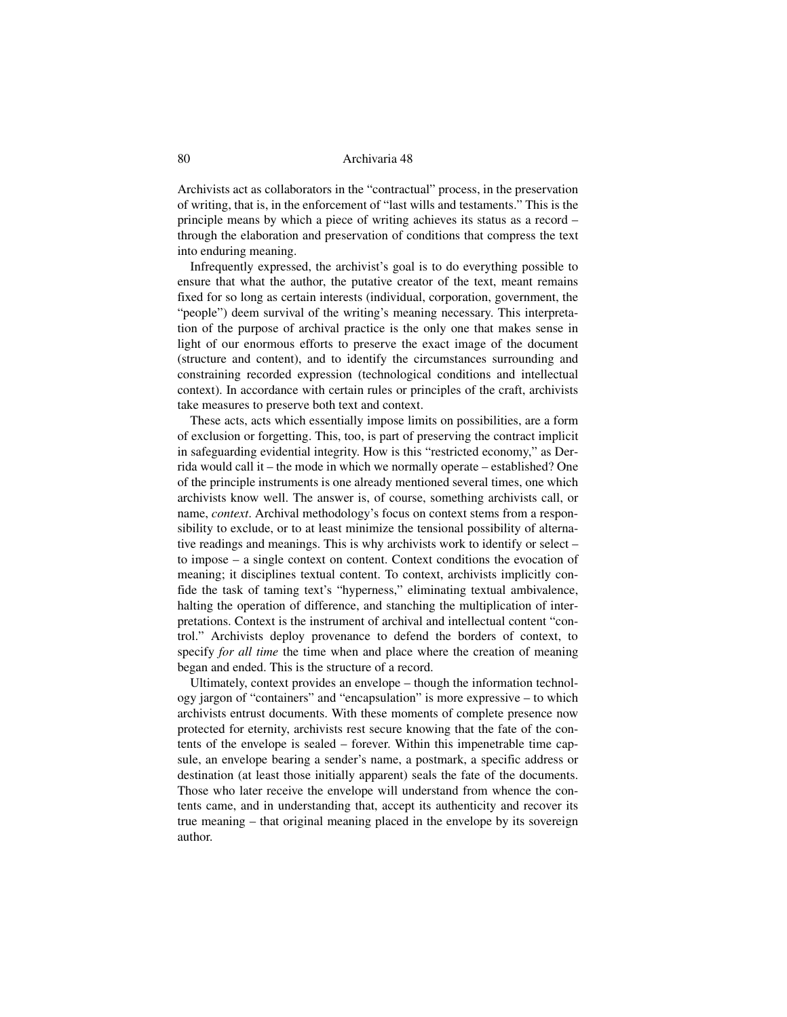Archivists act as collaborators in the "contractual" process, in the preservation of writing, that is, in the enforcement of "last wills and testaments." This is the principle means by which a piece of writing achieves its status as a record – through the elaboration and preservation of conditions that compress the text into enduring meaning.

Infrequently expressed, the archivist's goal is to do everything possible to ensure that what the author, the putative creator of the text, meant remains fixed for so long as certain interests (individual, corporation, government, the "people") deem survival of the writing's meaning necessary. This interpretation of the purpose of archival practice is the only one that makes sense in light of our enormous efforts to preserve the exact image of the document (structure and content), and to identify the circumstances surrounding and constraining recorded expression (technological conditions and intellectual context). In accordance with certain rules or principles of the craft, archivists take measures to preserve both text and context.

These acts, acts which essentially impose limits on possibilities, are a form of exclusion or forgetting. This, too, is part of preserving the contract implicit in safeguarding evidential integrity. How is this "restricted economy," as Derrida would call it – the mode in which we normally operate – established? One of the principle instruments is one already mentioned several times, one which archivists know well. The answer is, of course, something archivists call, or name, *context*. Archival methodology's focus on context stems from a responsibility to exclude, or to at least minimize the tensional possibility of alternative readings and meanings. This is why archivists work to identify or select – to impose – a single context on content. Context conditions the evocation of meaning; it disciplines textual content. To context, archivists implicitly confide the task of taming text's "hyperness," eliminating textual ambivalence, halting the operation of difference, and stanching the multiplication of interpretations. Context is the instrument of archival and intellectual content "control." Archivists deploy provenance to defend the borders of context, to specify *for all time* the time when and place where the creation of meaning began and ended. This is the structure of a record.

Ultimately, context provides an envelope – though the information technology jargon of "containers" and "encapsulation" is more expressive – to which archivists entrust documents. With these moments of complete presence now protected for eternity, archivists rest secure knowing that the fate of the contents of the envelope is sealed – forever. Within this impenetrable time capsule, an envelope bearing a sender's name, a postmark, a specific address or destination (at least those initially apparent) seals the fate of the documents. Those who later receive the envelope will understand from whence the contents came, and in understanding that, accept its authenticity and recover its true meaning – that original meaning placed in the envelope by its sovereign author.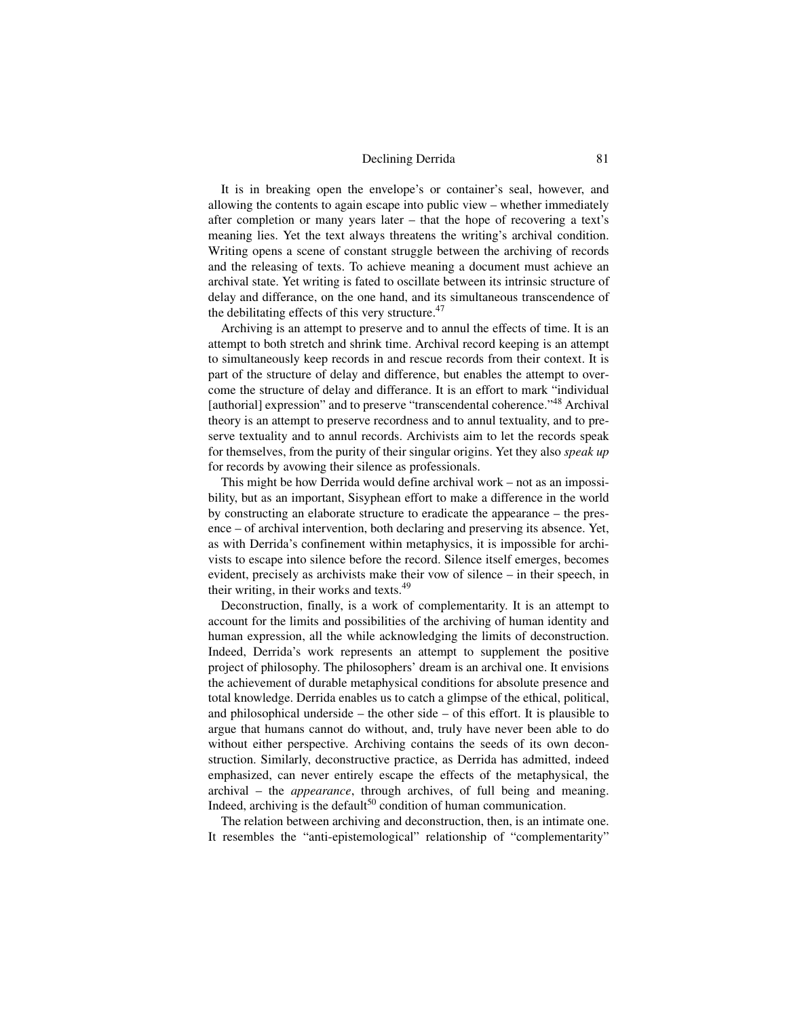It is in breaking open the envelope's or container's seal, however, and allowing the contents to again escape into public view – whether immediately after completion or many years later – that the hope of recovering a text's meaning lies. Yet the text always threatens the writing's archival condition. Writing opens a scene of constant struggle between the archiving of records and the releasing of texts. To achieve meaning a document must achieve an archival state. Yet writing is fated to oscillate between its intrinsic structure of delay and differance, on the one hand, and its simultaneous transcendence of the debilitating effects of this very structure. $47$ 

Archiving is an attempt to preserve and to annul the effects of time. It is an attempt to both stretch and shrink time. Archival record keeping is an attempt to simultaneously keep records in and rescue records from their context. It is part of the structure of delay and difference, but enables the attempt to overcome the structure of delay and differance. It is an effort to mark "individual [authorial] expression" and to preserve "transcendental coherence."<sup>48</sup> Archival theory is an attempt to preserve recordness and to annul textuality, and to preserve textuality and to annul records. Archivists aim to let the records speak for themselves, from the purity of their singular origins. Yet they also *speak up* for records by avowing their silence as professionals.

This might be how Derrida would define archival work – not as an impossibility, but as an important, Sisyphean effort to make a difference in the world by constructing an elaborate structure to eradicate the appearance – the presence – of archival intervention, both declaring and preserving its absence. Yet, as with Derrida's confinement within metaphysics, it is impossible for archivists to escape into silence before the record. Silence itself emerges, becomes evident, precisely as archivists make their vow of silence – in their speech, in their writing, in their works and texts.<sup>49</sup>

Deconstruction, finally, is a work of complementarity. It is an attempt to account for the limits and possibilities of the archiving of human identity and human expression, all the while acknowledging the limits of deconstruction. Indeed, Derrida's work represents an attempt to supplement the positive project of philosophy. The philosophers' dream is an archival one. It envisions the achievement of durable metaphysical conditions for absolute presence and total knowledge. Derrida enables us to catch a glimpse of the ethical, political, and philosophical underside – the other side – of this effort. It is plausible to argue that humans cannot do without, and, truly have never been able to do without either perspective. Archiving contains the seeds of its own deconstruction. Similarly, deconstructive practice, as Derrida has admitted, indeed emphasized, can never entirely escape the effects of the metaphysical, the archival – the *appearance*, through archives, of full being and meaning. Indeed, archiving is the default<sup>50</sup> condition of human communication.

The relation between archiving and deconstruction, then, is an intimate one. It resembles the "anti-epistemological" relationship of "complementarity"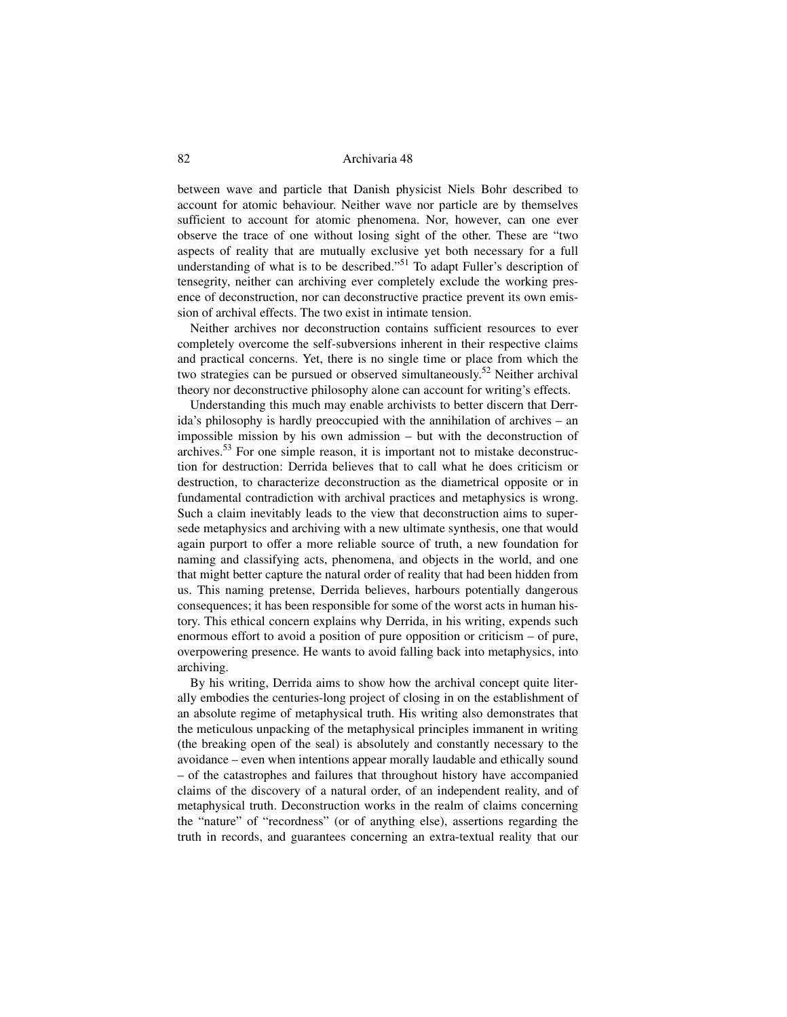between wave and particle that Danish physicist Niels Bohr described to account for atomic behaviour. Neither wave nor particle are by themselves sufficient to account for atomic phenomena. Nor, however, can one ever observe the trace of one without losing sight of the other. These are "two aspects of reality that are mutually exclusive yet both necessary for a full understanding of what is to be described."<sup>51</sup> To adapt Fuller's description of tensegrity, neither can archiving ever completely exclude the working presence of deconstruction, nor can deconstructive practice prevent its own emission of archival effects. The two exist in intimate tension.

Neither archives nor deconstruction contains sufficient resources to ever completely overcome the self-subversions inherent in their respective claims and practical concerns. Yet, there is no single time or place from which the two strategies can be pursued or observed simultaneously.<sup>52</sup> Neither archival theory nor deconstructive philosophy alone can account for writing's effects.

Understanding this much may enable archivists to better discern that Derrida's philosophy is hardly preoccupied with the annihilation of archives – an impossible mission by his own admission – but with the deconstruction of archives.<sup>53</sup> For one simple reason, it is important not to mistake deconstruction for destruction: Derrida believes that to call what he does criticism or destruction, to characterize deconstruction as the diametrical opposite or in fundamental contradiction with archival practices and metaphysics is wrong. Such a claim inevitably leads to the view that deconstruction aims to supersede metaphysics and archiving with a new ultimate synthesis, one that would again purport to offer a more reliable source of truth, a new foundation for naming and classifying acts, phenomena, and objects in the world, and one that might better capture the natural order of reality that had been hidden from us. This naming pretense, Derrida believes, harbours potentially dangerous consequences; it has been responsible for some of the worst acts in human history. This ethical concern explains why Derrida, in his writing, expends such enormous effort to avoid a position of pure opposition or criticism – of pure, overpowering presence. He wants to avoid falling back into metaphysics, into archiving.

By his writing, Derrida aims to show how the archival concept quite literally embodies the centuries-long project of closing in on the establishment of an absolute regime of metaphysical truth. His writing also demonstrates that the meticulous unpacking of the metaphysical principles immanent in writing (the breaking open of the seal) is absolutely and constantly necessary to the avoidance – even when intentions appear morally laudable and ethically sound – of the catastrophes and failures that throughout history have accompanied claims of the discovery of a natural order, of an independent reality, and of metaphysical truth. Deconstruction works in the realm of claims concerning the "nature" of "recordness" (or of anything else), assertions regarding the truth in records, and guarantees concerning an extra-textual reality that our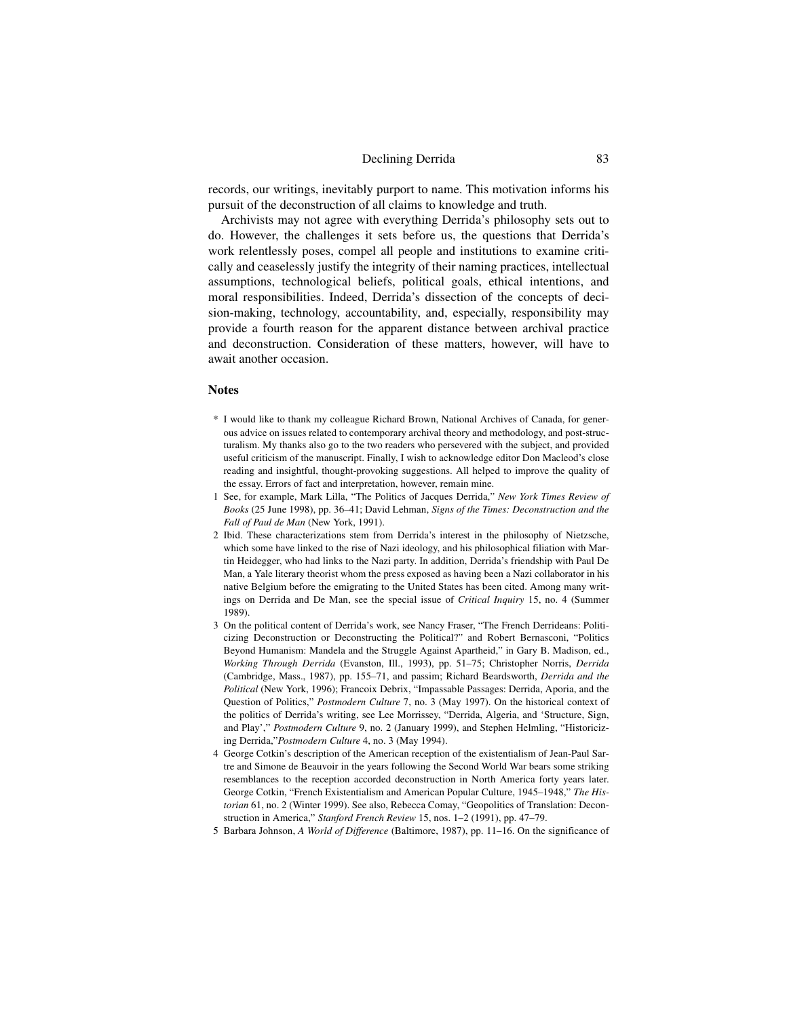records, our writings, inevitably purport to name. This motivation informs his pursuit of the deconstruction of all claims to knowledge and truth.

Archivists may not agree with everything Derrida's philosophy sets out to do. However, the challenges it sets before us, the questions that Derrida's work relentlessly poses, compel all people and institutions to examine critically and ceaselessly justify the integrity of their naming practices, intellectual assumptions, technological beliefs, political goals, ethical intentions, and moral responsibilities. Indeed, Derrida's dissection of the concepts of decision-making, technology, accountability, and, especially, responsibility may provide a fourth reason for the apparent distance between archival practice and deconstruction. Consideration of these matters, however, will have to await another occasion.

# **Notes**

- \* I would like to thank my colleague Richard Brown, National Archives of Canada, for generous advice on issues related to contemporary archival theory and methodology, and post-structuralism. My thanks also go to the two readers who persevered with the subject, and provided useful criticism of the manuscript. Finally, I wish to acknowledge editor Don Macleod's close reading and insightful, thought-provoking suggestions. All helped to improve the quality of the essay. Errors of fact and interpretation, however, remain mine.
- 1 See, for example, Mark Lilla, "The Politics of Jacques Derrida," *New York Times Review of Books* (25 June 1998), pp. 36–41; David Lehman, *Signs of the Times: Deconstruction and the Fall of Paul de Man* (New York, 1991).
- 2 Ibid. These characterizations stem from Derrida's interest in the philosophy of Nietzsche, which some have linked to the rise of Nazi ideology, and his philosophical filiation with Martin Heidegger, who had links to the Nazi party. In addition, Derrida's friendship with Paul De Man, a Yale literary theorist whom the press exposed as having been a Nazi collaborator in his native Belgium before the emigrating to the United States has been cited. Among many writings on Derrida and De Man, see the special issue of *Critical Inquiry* 15, no. 4 (Summer 1989).
- 3 On the political content of Derrida's work, see Nancy Fraser, "The French Derrideans: Politicizing Deconstruction or Deconstructing the Political?" and Robert Bernasconi, "Politics Beyond Humanism: Mandela and the Struggle Against Apartheid," in Gary B. Madison, ed., *Working Through Derrida* (Evanston, Ill., 1993), pp. 51–75; Christopher Norris, *Derrida* (Cambridge, Mass., 1987), pp. 155–71, and passim; Richard Beardsworth, *Derrida and the Political* (New York, 1996); Francoix Debrix, "Impassable Passages: Derrida, Aporia, and the Question of Politics," *Postmodern Culture* 7, no. 3 (May 1997). On the historical context of the politics of Derrida's writing, see Lee Morrissey, "Derrida, Algeria, and 'Structure, Sign, and Play'," *Postmodern Culture* 9, no. 2 (January 1999), and Stephen Helmling, "Historicizing Derrida,"*Postmodern Culture* 4, no. 3 (May 1994).
- 4 George Cotkin's description of the American reception of the existentialism of Jean-Paul Sartre and Simone de Beauvoir in the years following the Second World War bears some striking resemblances to the reception accorded deconstruction in North America forty years later. George Cotkin, "French Existentialism and American Popular Culture, 1945–1948," *The Historian* 61, no. 2 (Winter 1999). See also, Rebecca Comay, "Geopolitics of Translation: Deconstruction in America," *Stanford French Review* 15, nos. 1–2 (1991), pp. 47–79.
- 5 Barbara Johnson, *A World of Difference* (Baltimore, 1987), pp. 11–16. On the significance of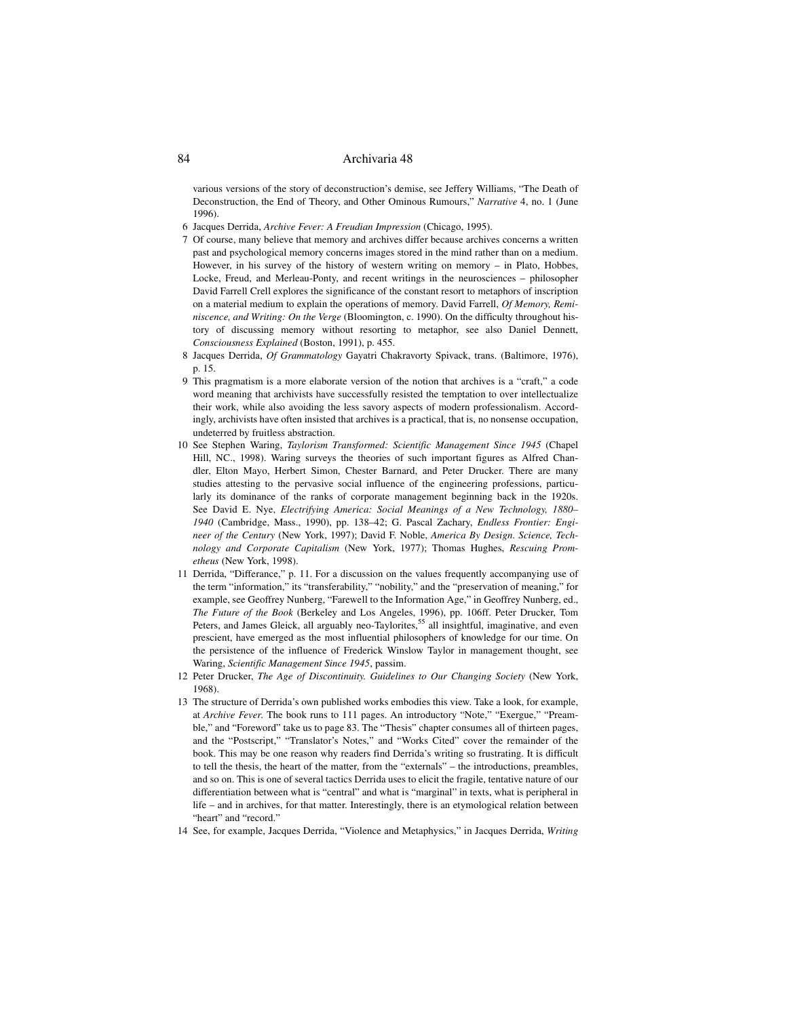various versions of the story of deconstruction's demise, see Jeffery Williams, "The Death of Deconstruction, the End of Theory, and Other Ominous Rumours," *Narrative* 4, no. 1 (June 1996).

- 6 Jacques Derrida, *Archive Fever: A Freudian Impression* (Chicago, 1995).
- 7 Of course, many believe that memory and archives differ because archives concerns a written past and psychological memory concerns images stored in the mind rather than on a medium. However, in his survey of the history of western writing on memory – in Plato, Hobbes, Locke, Freud, and Merleau-Ponty, and recent writings in the neurosciences – philosopher David Farrell Crell explores the significance of the constant resort to metaphors of inscription on a material medium to explain the operations of memory. David Farrell, *Of Memory, Reminiscence, and Writing: On the Verge* (Bloomington, c. 1990). On the difficulty throughout history of discussing memory without resorting to metaphor, see also Daniel Dennett, *Consciousness Explained* (Boston, 1991), p. 455.
- 8 Jacques Derrida, *Of Grammatology* Gayatri Chakravorty Spivack, trans. (Baltimore, 1976), p. 15.
- 9 This pragmatism is a more elaborate version of the notion that archives is a "craft," a code word meaning that archivists have successfully resisted the temptation to over intellectualize their work, while also avoiding the less savory aspects of modern professionalism. Accordingly, archivists have often insisted that archives is a practical, that is, no nonsense occupation, undeterred by fruitless abstraction.
- 10 See Stephen Waring, *Taylorism Transformed: Scientific Management Since 1945* (Chapel Hill, NC., 1998). Waring surveys the theories of such important figures as Alfred Chandler, Elton Mayo, Herbert Simon, Chester Barnard, and Peter Drucker. There are many studies attesting to the pervasive social influence of the engineering professions, particularly its dominance of the ranks of corporate management beginning back in the 1920s. See David E. Nye, *Electrifying America: Social Meanings of a New Technology, 1880– 1940* (Cambridge, Mass., 1990), pp. 138–42; G. Pascal Zachary, *Endless Frontier: Engineer of the Century* (New York, 1997); David F. Noble, *America By Design. Science, Technology and Corporate Capitalism* (New York, 1977); Thomas Hughes, *Rescuing Prometheus* (New York, 1998).
- 11 Derrida, "Differance," p. 11. For a discussion on the values frequently accompanying use of the term "information," its "transferability," "nobility," and the "preservation of meaning," for example, see Geoffrey Nunberg, "Farewell to the Information Age," in Geoffrey Nunberg, ed., *The Future of the Book* (Berkeley and Los Angeles, 1996), pp. 106ff. Peter Drucker, Tom Peters, and James Gleick, all arguably neo-Taylorites,<sup>55</sup> all insightful, imaginative, and even prescient, have emerged as the most influential philosophers of knowledge for our time. On the persistence of the influence of Frederick Winslow Taylor in management thought, see Waring, *Scientific Management Since 1945*, passim.
- 12 Peter Drucker, *The Age of Discontinuity. Guidelines to Our Changing Society* (New York, 1968).
- 13 The structure of Derrida's own published works embodies this view. Take a look, for example, at *Archive Fever*. The book runs to 111 pages. An introductory "Note," "Exergue," "Preamble," and "Foreword" take us to page 83. The "Thesis" chapter consumes all of thirteen pages, and the "Postscript," "Translator's Notes," and "Works Cited" cover the remainder of the book. This may be one reason why readers find Derrida's writing so frustrating. It is difficult to tell the thesis, the heart of the matter, from the "externals" – the introductions, preambles, and so on. This is one of several tactics Derrida uses to elicit the fragile, tentative nature of our differentiation between what is "central" and what is "marginal" in texts, what is peripheral in life – and in archives, for that matter. Interestingly, there is an etymological relation between "heart" and "record."
- 14 See, for example, Jacques Derrida, "Violence and Metaphysics," in Jacques Derrida, *Writing*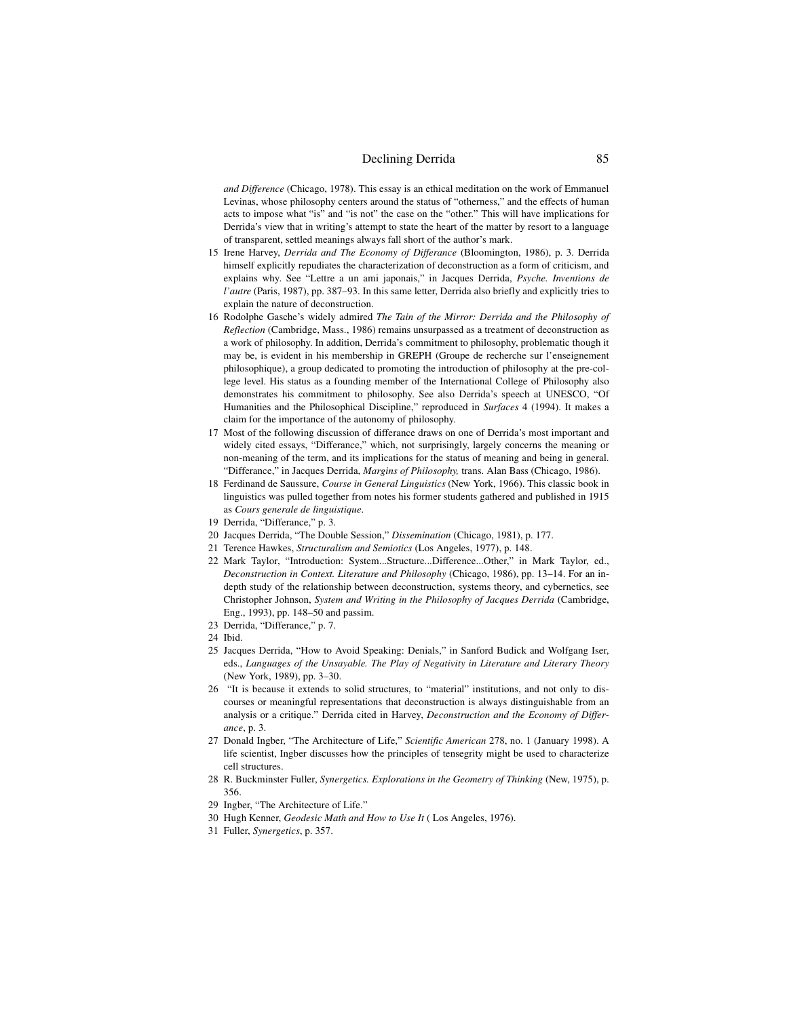*and Difference* (Chicago, 1978). This essay is an ethical meditation on the work of Emmanuel Levinas, whose philosophy centers around the status of "otherness," and the effects of human acts to impose what "is" and "is not" the case on the "other." This will have implications for Derrida's view that in writing's attempt to state the heart of the matter by resort to a language of transparent, settled meanings always fall short of the author's mark.

- 15 Irene Harvey, *Derrida and The Economy of Differance* (Bloomington, 1986), p. 3. Derrida himself explicitly repudiates the characterization of deconstruction as a form of criticism, and explains why. See "Lettre a un ami japonais," in Jacques Derrida, *Psyche. Inventions de l'autre* (Paris, 1987), pp. 387–93. In this same letter, Derrida also briefly and explicitly tries to explain the nature of deconstruction.
- 16 Rodolphe Gasche's widely admired *The Tain of the Mirror: Derrida and the Philosophy of Reflection* (Cambridge, Mass., 1986) remains unsurpassed as a treatment of deconstruction as a work of philosophy. In addition, Derrida's commitment to philosophy, problematic though it may be, is evident in his membership in GREPH (Groupe de recherche sur l'enseignement philosophique), a group dedicated to promoting the introduction of philosophy at the pre-college level. His status as a founding member of the International College of Philosophy also demonstrates his commitment to philosophy. See also Derrida's speech at UNESCO, "Of Humanities and the Philosophical Discipline," reproduced in *Surfaces* 4 (1994). It makes a claim for the importance of the autonomy of philosophy.
- 17 Most of the following discussion of differance draws on one of Derrida's most important and widely cited essays, "Differance," which, not surprisingly, largely concerns the meaning or non-meaning of the term, and its implications for the status of meaning and being in general. "Differance," in Jacques Derrida, *Margins of Philosophy,* trans. Alan Bass (Chicago, 1986).
- 18 Ferdinand de Saussure, *Course in General Linguistics* (New York, 1966). This classic book in linguistics was pulled together from notes his former students gathered and published in 1915 as *Cours generale de linguistique*.
- 19 Derrida, "Differance," p. 3.
- 20 Jacques Derrida, "The Double Session," *Dissemination* (Chicago, 1981), p. 177.
- 21 Terence Hawkes, *Structuralism and Semiotics* (Los Angeles, 1977), p. 148.
- 22 Mark Taylor, "Introduction: System...Structure...Difference...Other," in Mark Taylor, ed., *Deconstruction in Context. Literature and Philosophy* (Chicago, 1986), pp. 13–14. For an indepth study of the relationship between deconstruction, systems theory, and cybernetics, see Christopher Johnson, *System and Writing in the Philosophy of Jacques Derrida* (Cambridge, Eng., 1993), pp. 148–50 and passim.
- 23 Derrida, "Differance," p. 7.
- 24 Ibid.
- 25 Jacques Derrida, "How to Avoid Speaking: Denials," in Sanford Budick and Wolfgang Iser, eds., *Languages of the Unsayable. The Play of Negativity in Literature and Literary Theory* (New York, 1989), pp. 3–30.
- 26 "It is because it extends to solid structures, to "material" institutions, and not only to discourses or meaningful representations that deconstruction is always distinguishable from an analysis or a critique." Derrida cited in Harvey, *Deconstruction and the Economy of Differance*, p. 3.
- 27 Donald Ingber, "The Architecture of Life," *Scientific American* 278, no. 1 (January 1998). A life scientist, Ingber discusses how the principles of tensegrity might be used to characterize cell structures.
- 28 R. Buckminster Fuller, *Synergetics. Explorations in the Geometry of Thinking* (New, 1975), p. 356.
- 29 Ingber, "The Architecture of Life."
- 30 Hugh Kenner, *Geodesic Math and How to Use It* ( Los Angeles, 1976).
- 31 Fuller, *Synergetics*, p. 357.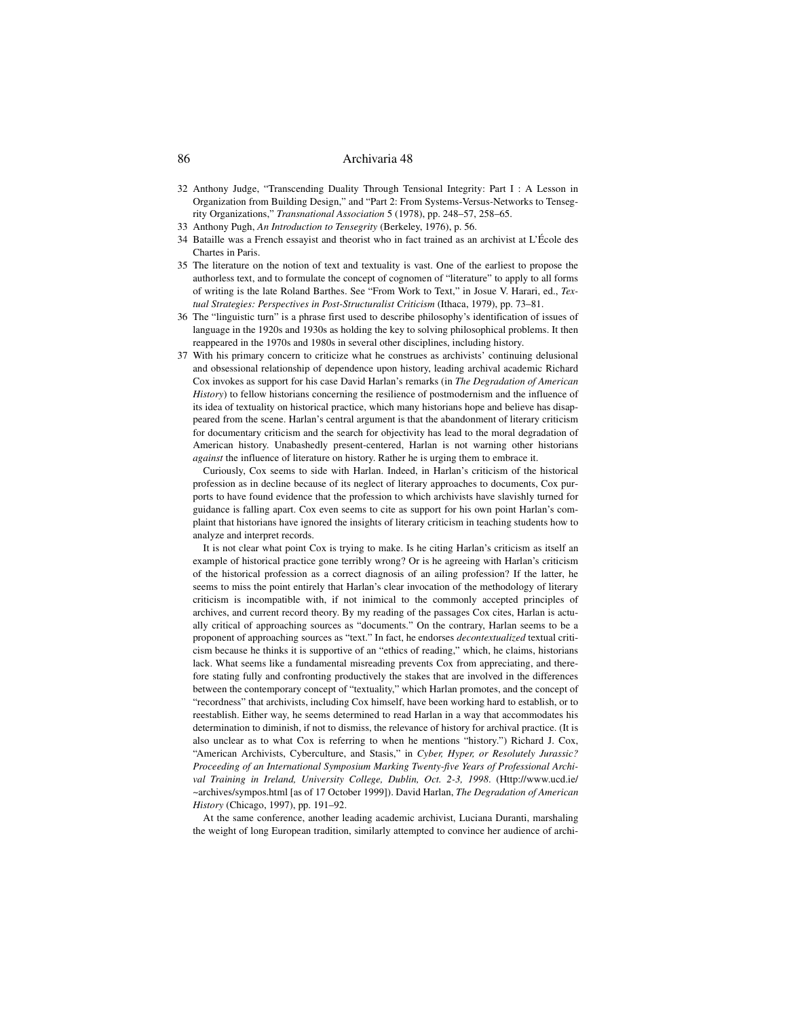- 32 Anthony Judge, "Transcending Duality Through Tensional Integrity: Part I : A Lesson in Organization from Building Design," and "Part 2: From Systems-Versus-Networks to Tensegrity Organizations," *Transnational Association* 5 (1978), pp. 248–57, 258–65.
- 33 Anthony Pugh, *An Introduction to Tensegrity* (Berkeley, 1976), p. 56.
- 34 Bataille was a French essayist and theorist who in fact trained as an archivist at L'École des Chartes in Paris.
- 35 The literature on the notion of text and textuality is vast. One of the earliest to propose the authorless text, and to formulate the concept of cognomen of "literature" to apply to all forms of writing is the late Roland Barthes. See "From Work to Text," in Josue V. Harari, ed., *Textual Strategies: Perspectives in Post-Structuralist Criticism* (Ithaca, 1979), pp. 73–81.
- 36 The "linguistic turn" is a phrase first used to describe philosophy's identification of issues of language in the 1920s and 1930s as holding the key to solving philosophical problems. It then reappeared in the 1970s and 1980s in several other disciplines, including history.
- 37 With his primary concern to criticize what he construes as archivists' continuing delusional and obsessional relationship of dependence upon history, leading archival academic Richard Cox invokes as support for his case David Harlan's remarks (in *The Degradation of American History*) to fellow historians concerning the resilience of postmodernism and the influence of its idea of textuality on historical practice, which many historians hope and believe has disappeared from the scene. Harlan's central argument is that the abandonment of literary criticism for documentary criticism and the search for objectivity has lead to the moral degradation of American history. Unabashedly present-centered, Harlan is not warning other historians *against* the influence of literature on history. Rather he is urging them to embrace it.

Curiously, Cox seems to side with Harlan. Indeed, in Harlan's criticism of the historical profession as in decline because of its neglect of literary approaches to documents, Cox purports to have found evidence that the profession to which archivists have slavishly turned for guidance is falling apart. Cox even seems to cite as support for his own point Harlan's complaint that historians have ignored the insights of literary criticism in teaching students how to analyze and interpret records.

It is not clear what point Cox is trying to make. Is he citing Harlan's criticism as itself an example of historical practice gone terribly wrong? Or is he agreeing with Harlan's criticism of the historical profession as a correct diagnosis of an ailing profession? If the latter, he seems to miss the point entirely that Harlan's clear invocation of the methodology of literary criticism is incompatible with, if not inimical to the commonly accepted principles of archives, and current record theory. By my reading of the passages Cox cites, Harlan is actually critical of approaching sources as "documents." On the contrary, Harlan seems to be a proponent of approaching sources as "text." In fact, he endorses *decontextualized* textual criticism because he thinks it is supportive of an "ethics of reading," which, he claims, historians lack. What seems like a fundamental misreading prevents Cox from appreciating, and therefore stating fully and confronting productively the stakes that are involved in the differences between the contemporary concept of "textuality," which Harlan promotes, and the concept of "recordness" that archivists, including Cox himself, have been working hard to establish, or to reestablish. Either way, he seems determined to read Harlan in a way that accommodates his determination to diminish, if not to dismiss, the relevance of history for archival practice. (It is also unclear as to what Cox is referring to when he mentions "history.") Richard J. Cox, "American Archivists, Cyberculture, and Stasis," in *Cyber, Hyper, or Resolutely Jurassic? Proceeding of an International Symposium Marking Twenty-five Years of Professional Archival Training in Ireland, University College, Dublin, Oct. 2-3, 1998*. (Http://www.ucd.ie/ ~archives/sympos.html [as of 17 October 1999]). David Harlan, *The Degradation of American History* (Chicago, 1997), pp. 191–92.

At the same conference, another leading academic archivist, Luciana Duranti, marshaling the weight of long European tradition, similarly attempted to convince her audience of archi-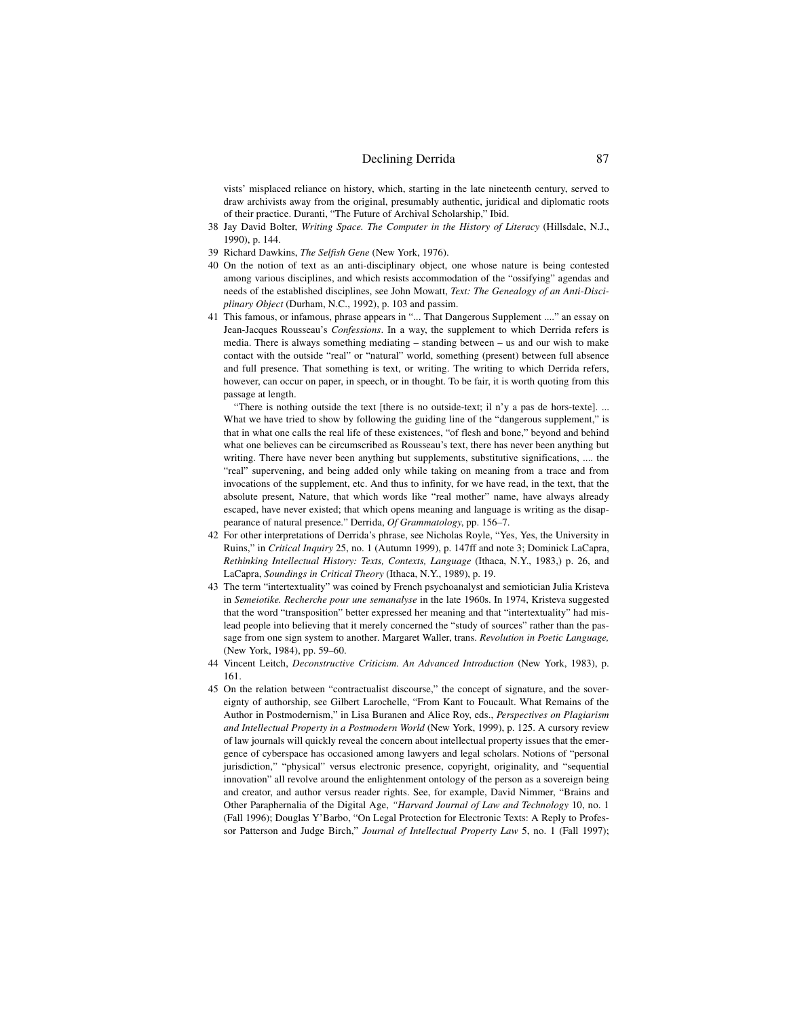vists' misplaced reliance on history, which, starting in the late nineteenth century, served to draw archivists away from the original, presumably authentic, juridical and diplomatic roots of their practice. Duranti, "The Future of Archival Scholarship," Ibid.

- 38 Jay David Bolter, *Writing Space. The Computer in the History of Literacy* (Hillsdale, N.J., 1990), p. 144.
- 39 Richard Dawkins, *The Selfish Gene* (New York, 1976).
- 40 On the notion of text as an anti-disciplinary object, one whose nature is being contested among various disciplines, and which resists accommodation of the "ossifying" agendas and needs of the established disciplines, see John Mowatt, *Text: The Genealogy of an Anti-Disciplinary Object* (Durham, N.C., 1992), p. 103 and passim.
- 41 This famous, or infamous, phrase appears in "... That Dangerous Supplement ...." an essay on Jean-Jacques Rousseau's *Confessions*. In a way, the supplement to which Derrida refers is media. There is always something mediating – standing between – us and our wish to make contact with the outside "real" or "natural" world, something (present) between full absence and full presence. That something is text, or writing. The writing to which Derrida refers, however, can occur on paper, in speech, or in thought. To be fair, it is worth quoting from this passage at length.

"There is nothing outside the text [there is no outside-text; il n'y a pas de hors-texte]. ... What we have tried to show by following the guiding line of the "dangerous supplement," is that in what one calls the real life of these existences, "of flesh and bone," beyond and behind what one believes can be circumscribed as Rousseau's text, there has never been anything but writing. There have never been anything but supplements, substitutive significations, .... the "real" supervening, and being added only while taking on meaning from a trace and from invocations of the supplement, etc. And thus to infinity, for we have read, in the text, that the absolute present, Nature, that which words like "real mother" name, have always already escaped, have never existed; that which opens meaning and language is writing as the disappearance of natural presence." Derrida, *Of Grammatology*, pp. 156–7.

- 42 For other interpretations of Derrida's phrase, see Nicholas Royle, "Yes, Yes, the University in Ruins," in *Critical Inquiry* 25, no. 1 (Autumn 1999), p. 147ff and note 3; Dominick LaCapra, *Rethinking Intellectual History: Texts, Contexts, Language* (Ithaca, N.Y., 1983,) p. 26, and LaCapra, *Soundings in Critical Theory* (Ithaca, N.Y., 1989), p. 19.
- 43 The term "intertextuality" was coined by French psychoanalyst and semiotician Julia Kristeva in *Semeiotike. Recherche pour une semanalyse* in the late 1960s. In 1974, Kristeva suggested that the word "transposition" better expressed her meaning and that "intertextuality" had mislead people into believing that it merely concerned the "study of sources" rather than the passage from one sign system to another. Margaret Waller, trans. *Revolution in Poetic Language,* (New York, 1984), pp. 59–60.
- 44 Vincent Leitch, *Deconstructive Criticism. An Advanced Introduction* (New York, 1983), p. 161.
- 45 On the relation between "contractualist discourse," the concept of signature, and the sovereignty of authorship, see Gilbert Larochelle, "From Kant to Foucault. What Remains of the Author in Postmodernism," in Lisa Buranen and Alice Roy, eds., *Perspectives on Plagiarism and Intellectual Property in a Postmodern World* (New York, 1999), p. 125. A cursory review of law journals will quickly reveal the concern about intellectual property issues that the emergence of cyberspace has occasioned among lawyers and legal scholars. Notions of "personal jurisdiction," "physical" versus electronic presence, copyright, originality, and "sequential innovation" all revolve around the enlightenment ontology of the person as a sovereign being and creator, and author versus reader rights. See, for example, David Nimmer, "Brains and Other Paraphernalia of the Digital Age, *"Harvard Journal of Law and Technology* 10, no. 1 (Fall 1996); Douglas Y'Barbo, "On Legal Protection for Electronic Texts: A Reply to Professor Patterson and Judge Birch," *Journal of Intellectual Property Law* 5, no. 1 (Fall 1997);